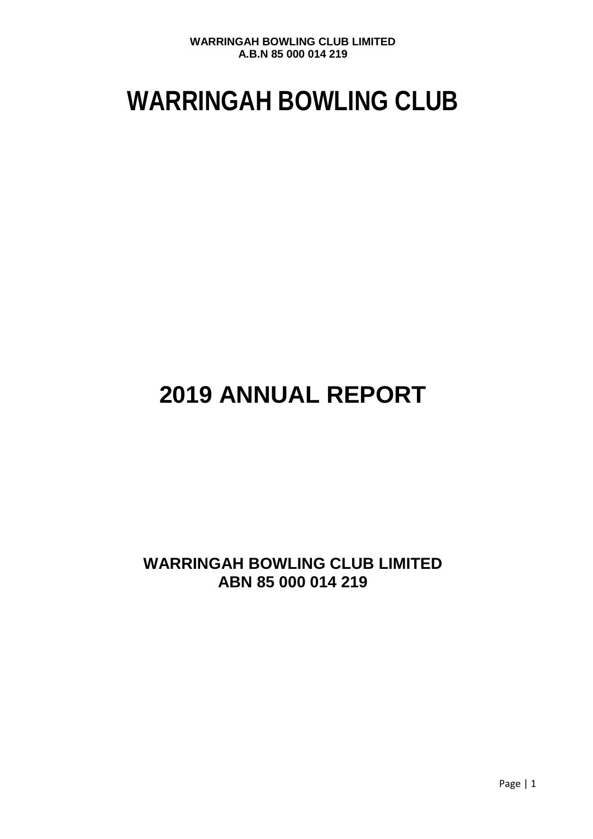# **WARRINGAH BOWLING CLUB**

## **2019 ANNUAL REPORT**

## **WARRINGAH BOWLING CLUB LIMITED ABN 85 000 014 219**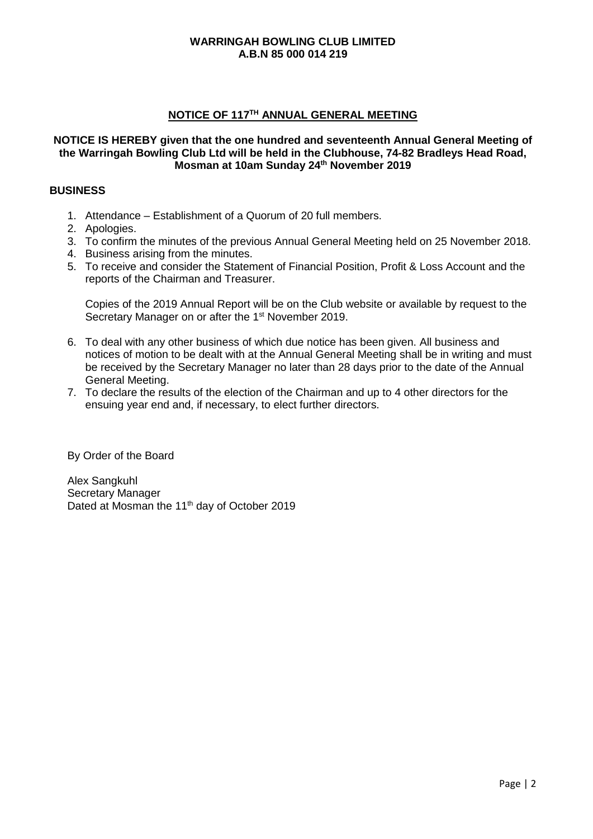## **NOTICE OF 117TH ANNUAL GENERAL MEETING**

#### **NOTICE IS HEREBY given that the one hundred and seventeenth Annual General Meeting of the Warringah Bowling Club Ltd will be held in the Clubhouse, 74-82 Bradleys Head Road, Mosman at 10am Sunday 24th November 2019**

### **BUSINESS**

- 1. Attendance Establishment of a Quorum of 20 full members.
- 2. Apologies.
- 3. To confirm the minutes of the previous Annual General Meeting held on 25 November 2018.
- 4. Business arising from the minutes.
- 5. To receive and consider the Statement of Financial Position, Profit & Loss Account and the reports of the Chairman and Treasurer.

Copies of the 2019 Annual Report will be on the Club website or available by request to the Secretary Manager on or after the 1<sup>st</sup> November 2019.

- 6. To deal with any other business of which due notice has been given. All business and notices of motion to be dealt with at the Annual General Meeting shall be in writing and must be received by the Secretary Manager no later than 28 days prior to the date of the Annual General Meeting.
- 7. To declare the results of the election of the Chairman and up to 4 other directors for the ensuing year end and, if necessary, to elect further directors.

By Order of the Board

Alex Sangkuhl Secretary Manager Dated at Mosman the 11<sup>th</sup> day of October 2019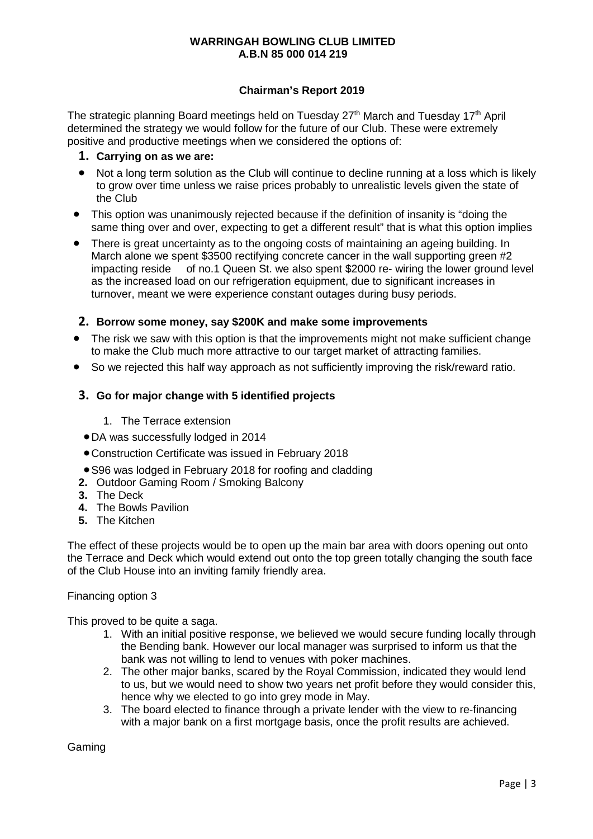## **Chairman's Report 2019**

The strategic planning Board meetings held on Tuesday  $27<sup>th</sup>$  March and Tuesday 17<sup>th</sup> April determined the strategy we would follow for the future of our Club. These were extremely positive and productive meetings when we considered the options of:

- **1. Carrying on as we are:**
- Not a long term solution as the Club will continue to decline running at a loss which is likely to grow over time unless we raise prices probably to unrealistic levels given the state of the Club
- This option was unanimously rejected because if the definition of insanity is "doing the same thing over and over, expecting to get a different result" that is what this option implies
- There is great uncertainty as to the ongoing costs of maintaining an ageing building. In March alone we spent \$3500 rectifying concrete cancer in the wall supporting green #2 impacting reside of no.1 Queen St. we also spent \$2000 re- wiring the lower ground level as the increased load on our refrigeration equipment, due to significant increases in turnover, meant we were experience constant outages during busy periods.

## **2. Borrow some money, say \$200K and make some improvements**

- The risk we saw with this option is that the improvements might not make sufficient change to make the Club much more attractive to our target market of attracting families.
- So we rejected this half way approach as not sufficiently improving the risk/reward ratio.

## **3. Go for major change with 5 identified projects**

- 1. The Terrace extension
- •DA was successfully lodged in 2014
- •Construction Certificate was issued in February 2018
- •S96 was lodged in February 2018 for roofing and cladding
- **2.** Outdoor Gaming Room / Smoking Balcony
- **3.** The Deck
- **4.** The Bowls Pavilion
- **5.** The Kitchen

The effect of these projects would be to open up the main bar area with doors opening out onto the Terrace and Deck which would extend out onto the top green totally changing the south face of the Club House into an inviting family friendly area.

#### Financing option 3

This proved to be quite a saga.

- 1. With an initial positive response, we believed we would secure funding locally through the Bending bank. However our local manager was surprised to inform us that the bank was not willing to lend to venues with poker machines.
- 2. The other major banks, scared by the Royal Commission, indicated they would lend to us, but we would need to show two years net profit before they would consider this, hence why we elected to go into grey mode in May.
- 3. The board elected to finance through a private lender with the view to re-financing with a major bank on a first mortgage basis, once the profit results are achieved.

Gaming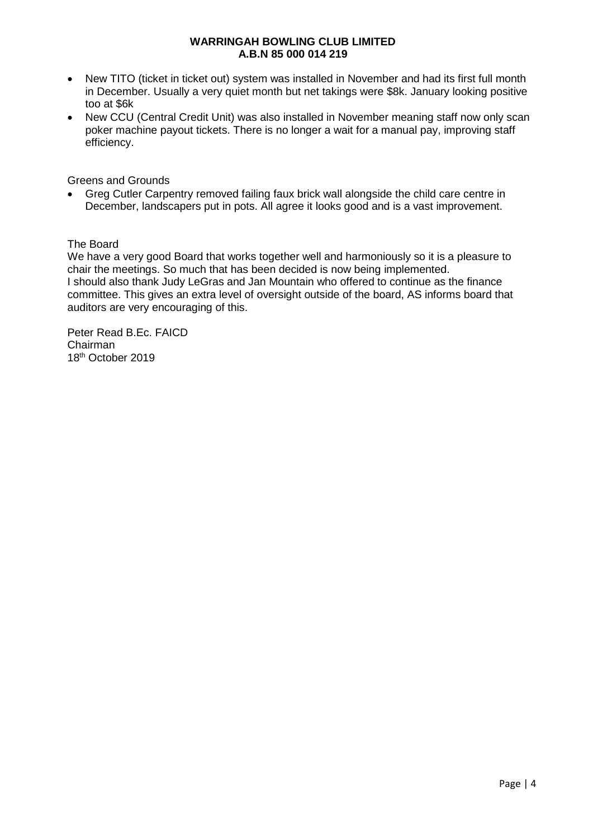- New TITO (ticket in ticket out) system was installed in November and had its first full month in December. Usually a very quiet month but net takings were \$8k. January looking positive too at \$6k
- New CCU (Central Credit Unit) was also installed in November meaning staff now only scan poker machine payout tickets. There is no longer a wait for a manual pay, improving staff efficiency.

Greens and Grounds

• Greg Cutler Carpentry removed failing faux brick wall alongside the child care centre in December, landscapers put in pots. All agree it looks good and is a vast improvement.

The Board

We have a very good Board that works together well and harmoniously so it is a pleasure to chair the meetings. So much that has been decided is now being implemented. I should also thank Judy LeGras and Jan Mountain who offered to continue as the finance committee. This gives an extra level of oversight outside of the board, AS informs board that auditors are very encouraging of this.

Peter Read B.Ec. FAICD Chairman 18<sup>th</sup> October 2019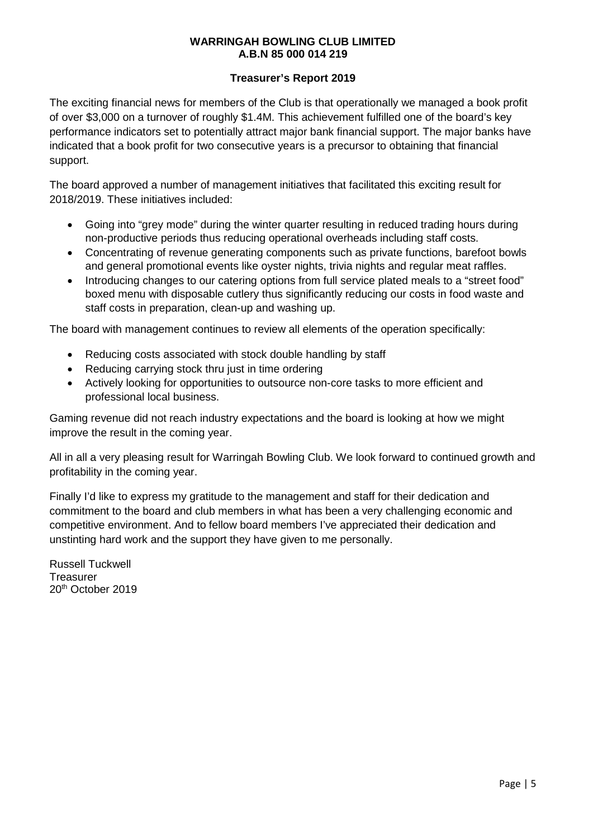## **Treasurer's Report 2019**

The exciting financial news for members of the Club is that operationally we managed a book profit of over \$3,000 on a turnover of roughly \$1.4M. This achievement fulfilled one of the board's key performance indicators set to potentially attract major bank financial support. The major banks have indicated that a book profit for two consecutive years is a precursor to obtaining that financial support.

The board approved a number of management initiatives that facilitated this exciting result for 2018/2019. These initiatives included:

- Going into "grey mode" during the winter quarter resulting in reduced trading hours during non-productive periods thus reducing operational overheads including staff costs.
- Concentrating of revenue generating components such as private functions, barefoot bowls and general promotional events like oyster nights, trivia nights and regular meat raffles.
- Introducing changes to our catering options from full service plated meals to a "street food" boxed menu with disposable cutlery thus significantly reducing our costs in food waste and staff costs in preparation, clean-up and washing up.

The board with management continues to review all elements of the operation specifically:

- Reducing costs associated with stock double handling by staff
- Reducing carrying stock thru just in time ordering
- Actively looking for opportunities to outsource non-core tasks to more efficient and professional local business.

Gaming revenue did not reach industry expectations and the board is looking at how we might improve the result in the coming year.

All in all a very pleasing result for Warringah Bowling Club. We look forward to continued growth and profitability in the coming year.

Finally I'd like to express my gratitude to the management and staff for their dedication and commitment to the board and club members in what has been a very challenging economic and competitive environment. And to fellow board members I've appreciated their dedication and unstinting hard work and the support they have given to me personally.

Russell Tuckwell **Treasurer** 20th October 2019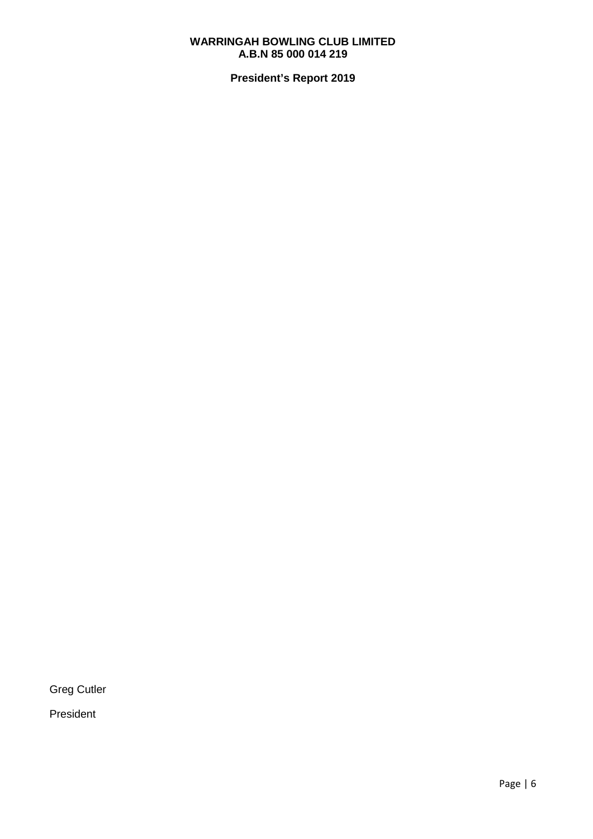**President's Report 2019**

Greg Cutler

President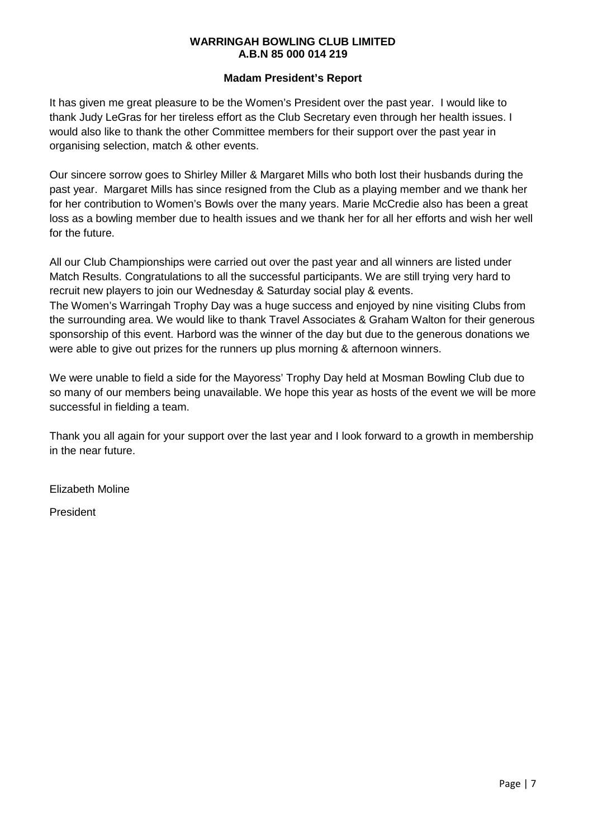## **Madam President's Report**

It has given me great pleasure to be the Women's President over the past year. I would like to thank Judy LeGras for her tireless effort as the Club Secretary even through her health issues. I would also like to thank the other Committee members for their support over the past year in organising selection, match & other events.

Our sincere sorrow goes to Shirley Miller & Margaret Mills who both lost their husbands during the past year. Margaret Mills has since resigned from the Club as a playing member and we thank her for her contribution to Women's Bowls over the many years. Marie McCredie also has been a great loss as a bowling member due to health issues and we thank her for all her efforts and wish her well for the future.

All our Club Championships were carried out over the past year and all winners are listed under Match Results. Congratulations to all the successful participants. We are still trying very hard to recruit new players to join our Wednesday & Saturday social play & events.

The Women's Warringah Trophy Day was a huge success and enjoyed by nine visiting Clubs from the surrounding area. We would like to thank Travel Associates & Graham Walton for their generous sponsorship of this event. Harbord was the winner of the day but due to the generous donations we were able to give out prizes for the runners up plus morning & afternoon winners.

We were unable to field a side for the Mayoress' Trophy Day held at Mosman Bowling Club due to so many of our members being unavailable. We hope this year as hosts of the event we will be more successful in fielding a team.

Thank you all again for your support over the last year and I look forward to a growth in membership in the near future.

Elizabeth Moline

President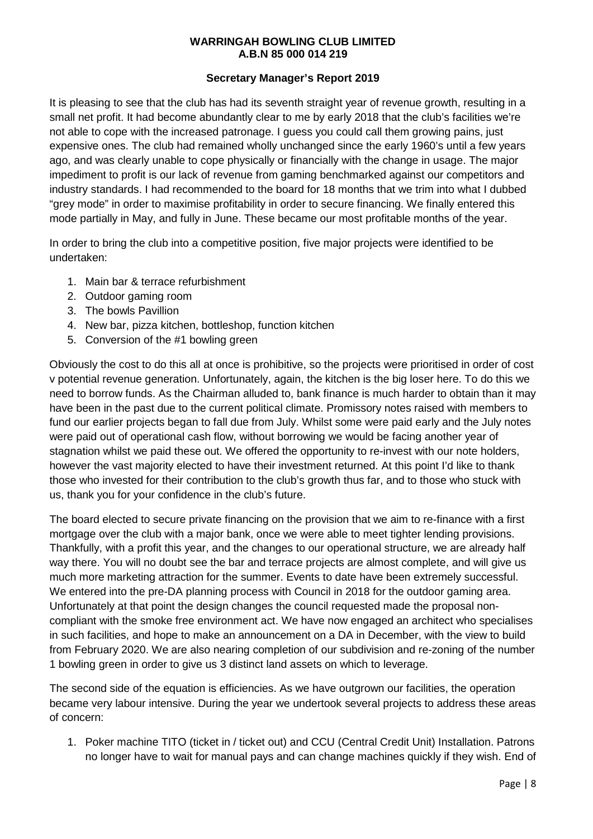## **Secretary Manager's Report 2019**

It is pleasing to see that the club has had its seventh straight year of revenue growth, resulting in a small net profit. It had become abundantly clear to me by early 2018 that the club's facilities we're not able to cope with the increased patronage. I guess you could call them growing pains, just expensive ones. The club had remained wholly unchanged since the early 1960's until a few years ago, and was clearly unable to cope physically or financially with the change in usage. The major impediment to profit is our lack of revenue from gaming benchmarked against our competitors and industry standards. I had recommended to the board for 18 months that we trim into what I dubbed "grey mode" in order to maximise profitability in order to secure financing. We finally entered this mode partially in May, and fully in June. These became our most profitable months of the year.

In order to bring the club into a competitive position, five major projects were identified to be undertaken:

- 1. Main bar & terrace refurbishment
- 2. Outdoor gaming room
- 3. The bowls Pavillion
- 4. New bar, pizza kitchen, bottleshop, function kitchen
- 5. Conversion of the #1 bowling green

Obviously the cost to do this all at once is prohibitive, so the projects were prioritised in order of cost v potential revenue generation. Unfortunately, again, the kitchen is the big loser here. To do this we need to borrow funds. As the Chairman alluded to, bank finance is much harder to obtain than it may have been in the past due to the current political climate. Promissory notes raised with members to fund our earlier projects began to fall due from July. Whilst some were paid early and the July notes were paid out of operational cash flow, without borrowing we would be facing another year of stagnation whilst we paid these out. We offered the opportunity to re-invest with our note holders, however the vast majority elected to have their investment returned. At this point I'd like to thank those who invested for their contribution to the club's growth thus far, and to those who stuck with us, thank you for your confidence in the club's future.

The board elected to secure private financing on the provision that we aim to re-finance with a first mortgage over the club with a major bank, once we were able to meet tighter lending provisions. Thankfully, with a profit this year, and the changes to our operational structure, we are already half way there. You will no doubt see the bar and terrace projects are almost complete, and will give us much more marketing attraction for the summer. Events to date have been extremely successful. We entered into the pre-DA planning process with Council in 2018 for the outdoor gaming area. Unfortunately at that point the design changes the council requested made the proposal noncompliant with the smoke free environment act. We have now engaged an architect who specialises in such facilities, and hope to make an announcement on a DA in December, with the view to build from February 2020. We are also nearing completion of our subdivision and re-zoning of the number 1 bowling green in order to give us 3 distinct land assets on which to leverage.

The second side of the equation is efficiencies. As we have outgrown our facilities, the operation became very labour intensive. During the year we undertook several projects to address these areas of concern:

1. Poker machine TITO (ticket in / ticket out) and CCU (Central Credit Unit) Installation. Patrons no longer have to wait for manual pays and can change machines quickly if they wish. End of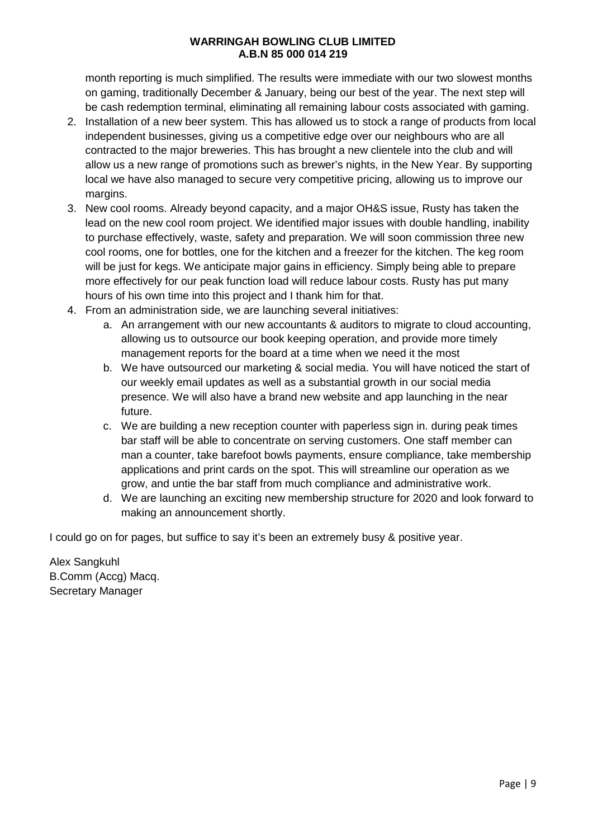month reporting is much simplified. The results were immediate with our two slowest months on gaming, traditionally December & January, being our best of the year. The next step will be cash redemption terminal, eliminating all remaining labour costs associated with gaming.

- 2. Installation of a new beer system. This has allowed us to stock a range of products from local independent businesses, giving us a competitive edge over our neighbours who are all contracted to the major breweries. This has brought a new clientele into the club and will allow us a new range of promotions such as brewer's nights, in the New Year. By supporting local we have also managed to secure very competitive pricing, allowing us to improve our margins.
- 3. New cool rooms. Already beyond capacity, and a major OH&S issue, Rusty has taken the lead on the new cool room project. We identified major issues with double handling, inability to purchase effectively, waste, safety and preparation. We will soon commission three new cool rooms, one for bottles, one for the kitchen and a freezer for the kitchen. The keg room will be just for kegs. We anticipate major gains in efficiency. Simply being able to prepare more effectively for our peak function load will reduce labour costs. Rusty has put many hours of his own time into this project and I thank him for that.
- 4. From an administration side, we are launching several initiatives:
	- a. An arrangement with our new accountants & auditors to migrate to cloud accounting, allowing us to outsource our book keeping operation, and provide more timely management reports for the board at a time when we need it the most
	- b. We have outsourced our marketing & social media. You will have noticed the start of our weekly email updates as well as a substantial growth in our social media presence. We will also have a brand new website and app launching in the near future.
	- c. We are building a new reception counter with paperless sign in. during peak times bar staff will be able to concentrate on serving customers. One staff member can man a counter, take barefoot bowls payments, ensure compliance, take membership applications and print cards on the spot. This will streamline our operation as we grow, and untie the bar staff from much compliance and administrative work.
	- d. We are launching an exciting new membership structure for 2020 and look forward to making an announcement shortly.

I could go on for pages, but suffice to say it's been an extremely busy & positive year.

Alex Sangkuhl B.Comm (Accg) Macq. Secretary Manager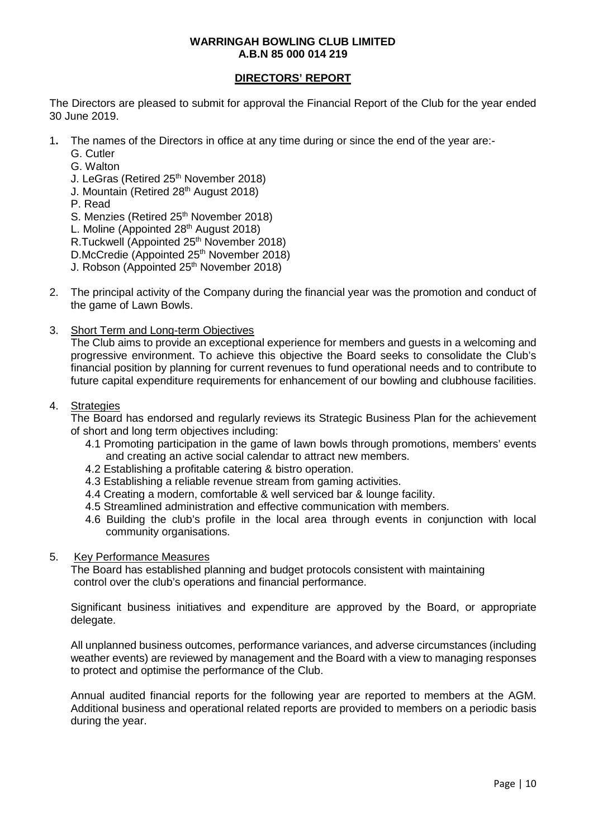## **DIRECTORS' REPORT**

The Directors are pleased to submit for approval the Financial Report of the Club for the year ended 30 June 2019.

- 1**.** The names of the Directors in office at any time during or since the end of the year are:-
	- G. Cutler
	- G. Walton
	- J. LeGras (Retired 25<sup>th</sup> November 2018)
	- J. Mountain (Retired 28<sup>th</sup> August 2018)
	- P. Read
	- S. Menzies (Retired 25<sup>th</sup> November 2018)
	- L. Moline (Appointed 28<sup>th</sup> August 2018)
	- R.Tuckwell (Appointed 25<sup>th</sup> November 2018)
	- D.McCredie (Appointed 25<sup>th</sup> November 2018)
	- J. Robson (Appointed 25<sup>th</sup> November 2018)
- 2. The principal activity of the Company during the financial year was the promotion and conduct of the game of Lawn Bowls.
- 3. Short Term and Long-term Objectives

The Club aims to provide an exceptional experience for members and guests in a welcoming and progressive environment. To achieve this objective the Board seeks to consolidate the Club's financial position by planning for current revenues to fund operational needs and to contribute to future capital expenditure requirements for enhancement of our bowling and clubhouse facilities.

## 4. Strategies

The Board has endorsed and regularly reviews its Strategic Business Plan for the achievement of short and long term objectives including:

- 4.1 Promoting participation in the game of lawn bowls through promotions, members' events and creating an active social calendar to attract new members.
- 4.2 Establishing a profitable catering & bistro operation.
- 4.3 Establishing a reliable revenue stream from gaming activities.
- 4.4 Creating a modern, comfortable & well serviced bar & lounge facility.
- 4.5 Streamlined administration and effective communication with members.
- 4.6 Building the club's profile in the local area through events in conjunction with local community organisations.

## 5. Key Performance Measures

The Board has established planning and budget protocols consistent with maintaining control over the club's operations and financial performance.

Significant business initiatives and expenditure are approved by the Board, or appropriate delegate.

All unplanned business outcomes, performance variances, and adverse circumstances (including weather events) are reviewed by management and the Board with a view to managing responses to protect and optimise the performance of the Club.

Annual audited financial reports for the following year are reported to members at the AGM. Additional business and operational related reports are provided to members on a periodic basis during the year.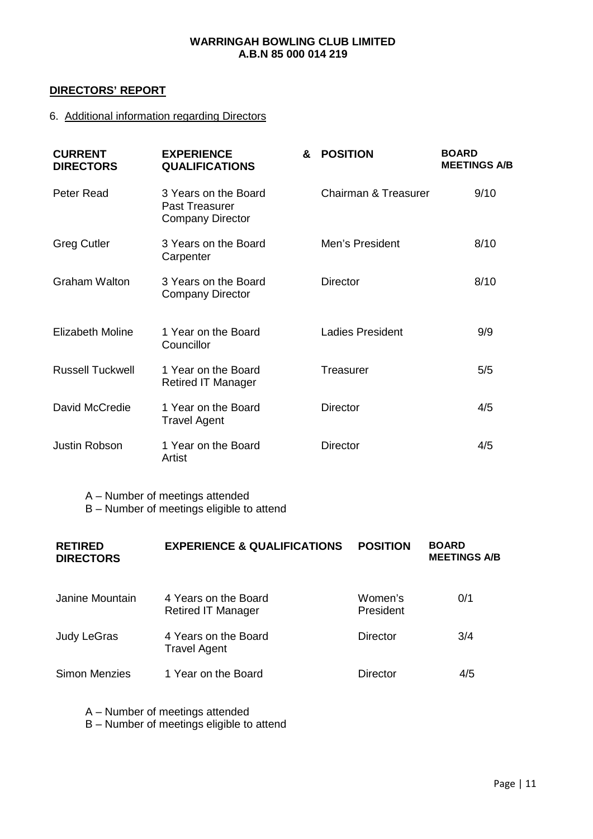## **DIRECTORS' REPORT**

## 6. Additional information regarding Directors

| <b>CURRENT</b><br><b>DIRECTORS</b> | <b>EXPERIENCE</b><br><b>QUALIFICATIONS</b>                               | & | <b>POSITION</b>                 | <b>BOARD</b><br><b>MEETINGS A/B</b> |
|------------------------------------|--------------------------------------------------------------------------|---|---------------------------------|-------------------------------------|
| Peter Read                         | 3 Years on the Board<br><b>Past Treasurer</b><br><b>Company Director</b> |   | <b>Chairman &amp; Treasurer</b> | 9/10                                |
| <b>Greg Cutler</b>                 | 3 Years on the Board<br>Carpenter                                        |   | Men's President                 | 8/10                                |
| <b>Graham Walton</b>               | 3 Years on the Board<br><b>Company Director</b>                          |   | <b>Director</b>                 | 8/10                                |
| <b>Elizabeth Moline</b>            | 1 Year on the Board<br>Councillor                                        |   | <b>Ladies President</b>         | 9/9                                 |
| <b>Russell Tuckwell</b>            | 1 Year on the Board<br><b>Retired IT Manager</b>                         |   | Treasurer                       | 5/5                                 |
| David McCredie                     | 1 Year on the Board<br><b>Travel Agent</b>                               |   | <b>Director</b>                 | 4/5                                 |
| <b>Justin Robson</b>               | 1 Year on the Board<br>Artist                                            |   | <b>Director</b>                 | 4/5                                 |

A – Number of meetings attended

B – Number of meetings eligible to attend

| <b>RETIRED</b><br><b>DIRECTORS</b> | <b>EXPERIENCE &amp; QUALIFICATIONS</b>            | <b>POSITION</b>      | <b>BOARD</b><br><b>MEETINGS A/B</b> |
|------------------------------------|---------------------------------------------------|----------------------|-------------------------------------|
| Janine Mountain                    | 4 Years on the Board<br><b>Retired IT Manager</b> | Women's<br>President | 0/1                                 |
| Judy LeGras                        | 4 Years on the Board<br><b>Travel Agent</b>       | <b>Director</b>      | 3/4                                 |
| <b>Simon Menzies</b>               | 1 Year on the Board                               | <b>Director</b>      | 4/5                                 |

A – Number of meetings attended

B – Number of meetings eligible to attend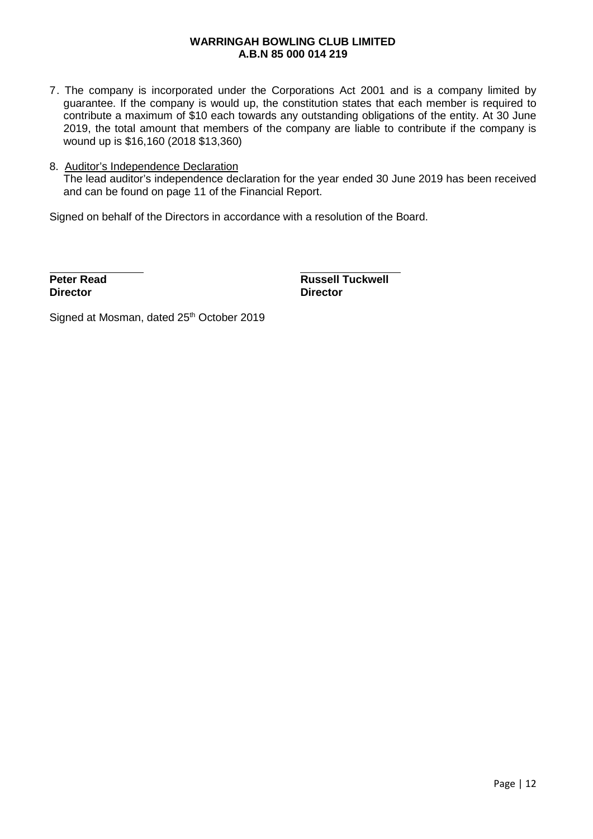7. The company is incorporated under the Corporations Act 2001 and is a company limited by guarantee. If the company is would up, the constitution states that each member is required to contribute a maximum of \$10 each towards any outstanding obligations of the entity. At 30 June 2019, the total amount that members of the company are liable to contribute if the company is wound up is \$16,160 (2018 \$13,360)

## 8. Auditor's Independence Declaration The lead auditor's independence declaration for the year ended 30 June 2019 has been received and can be found on page 11 of the Financial Report.

Signed on behalf of the Directors in accordance with a resolution of the Board.

**Director Director**

 $\overline{a}$ 

**Peter Read Russell Tuckwell**<br>Director **Director** 

Signed at Mosman, dated 25<sup>th</sup> October 2019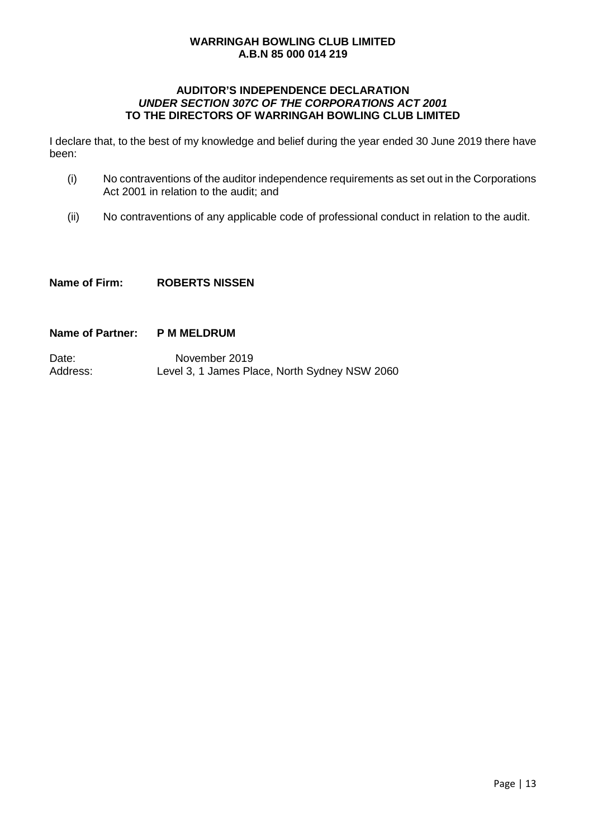## **AUDITOR'S INDEPENDENCE DECLARATION**  *UNDER SECTION 307C OF THE CORPORATIONS ACT 2001* **TO THE DIRECTORS OF WARRINGAH BOWLING CLUB LIMITED**

I declare that, to the best of my knowledge and belief during the year ended 30 June 2019 there have been:

- (i) No contraventions of the auditor independence requirements as set out in the Corporations Act 2001 in relation to the audit; and
- (ii) No contraventions of any applicable code of professional conduct in relation to the audit.

**Name of Firm: ROBERTS NISSEN**

## **Name of Partner: P M MELDRUM**

Date: November 2019<br>Address: Level 3. 1 James Pla Level 3, 1 James Place, North Sydney NSW 2060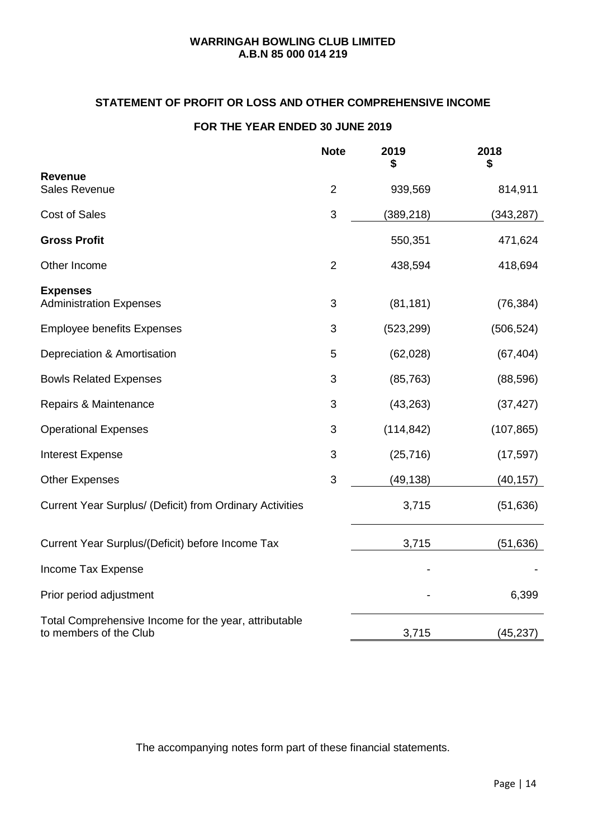## **STATEMENT OF PROFIT OR LOSS AND OTHER COMPREHENSIVE INCOME**

## **FOR THE YEAR ENDED 30 JUNE 2019**

|                                                                                 | <b>Note</b>    | 2019<br>\$ | 2018<br>\$ |
|---------------------------------------------------------------------------------|----------------|------------|------------|
| <b>Revenue</b><br><b>Sales Revenue</b>                                          | $\overline{2}$ | 939,569    | 814,911    |
| <b>Cost of Sales</b>                                                            | 3              | (389, 218) | (343, 287) |
| <b>Gross Profit</b>                                                             |                | 550,351    | 471,624    |
| Other Income                                                                    | $\overline{2}$ | 438,594    | 418,694    |
| <b>Expenses</b><br><b>Administration Expenses</b>                               | 3              | (81, 181)  | (76, 384)  |
| <b>Employee benefits Expenses</b>                                               | 3              | (523, 299) | (506, 524) |
| Depreciation & Amortisation                                                     | 5              | (62,028)   | (67, 404)  |
| <b>Bowls Related Expenses</b>                                                   | 3              | (85, 763)  | (88, 596)  |
| Repairs & Maintenance                                                           | 3              | (43, 263)  | (37, 427)  |
| <b>Operational Expenses</b>                                                     | 3              | (114, 842) | (107, 865) |
| <b>Interest Expense</b>                                                         | 3              | (25, 716)  | (17, 597)  |
| <b>Other Expenses</b>                                                           | 3              | (49, 138)  | (40, 157)  |
| Current Year Surplus/ (Deficit) from Ordinary Activities                        |                | 3,715      | (51, 636)  |
| Current Year Surplus/(Deficit) before Income Tax                                |                | 3,715      | (51, 636)  |
| Income Tax Expense                                                              |                |            |            |
| Prior period adjustment                                                         |                |            | 6,399      |
| Total Comprehensive Income for the year, attributable<br>to members of the Club |                | 3,715      | (45, 237)  |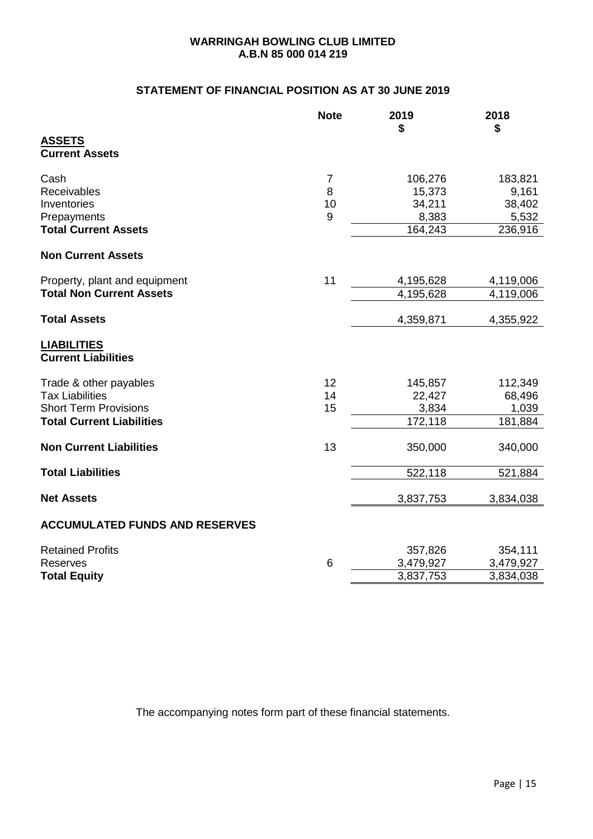## **STATEMENT OF FINANCIAL POSITION AS AT 30 JUNE 2019**

|                                                  | <b>Note</b>     | 2019<br>\$ | 2018<br>\$ |
|--------------------------------------------------|-----------------|------------|------------|
| <b>ASSETS</b><br><b>Current Assets</b>           |                 |            |            |
| Cash                                             | $\overline{7}$  | 106,276    | 183,821    |
| <b>Receivables</b>                               | 8               | 15,373     | 9,161      |
| Inventories                                      | 10              | 34,211     | 38,402     |
| Prepayments                                      | 9               | 8,383      | 5,532      |
| <b>Total Current Assets</b>                      |                 | 164,243    | 236,916    |
| <b>Non Current Assets</b>                        |                 |            |            |
| Property, plant and equipment                    | 11              | 4,195,628  | 4,119,006  |
| <b>Total Non Current Assets</b>                  |                 | 4,195,628  | 4,119,006  |
| <b>Total Assets</b>                              |                 | 4,359,871  | 4,355,922  |
| <b>LIABILITIES</b><br><b>Current Liabilities</b> |                 |            |            |
| Trade & other payables                           | 12              | 145,857    | 112,349    |
| <b>Tax Liabilities</b>                           | 14              | 22,427     | 68,496     |
| <b>Short Term Provisions</b>                     | 15              | 3,834      | 1,039      |
| <b>Total Current Liabilities</b>                 |                 | 172,118    | 181,884    |
| <b>Non Current Liabilities</b>                   | 13              | 350,000    | 340,000    |
| <b>Total Liabilities</b>                         |                 | 522,118    | 521,884    |
| <b>Net Assets</b>                                |                 | 3,837,753  | 3,834,038  |
| <b>ACCUMULATED FUNDS AND RESERVES</b>            |                 |            |            |
| <b>Retained Profits</b>                          |                 | 357,826    | 354,111    |
| <b>Reserves</b>                                  | $6\phantom{1}6$ | 3,479,927  | 3,479,927  |
| <b>Total Equity</b>                              |                 | 3,837,753  | 3,834,038  |
|                                                  |                 |            |            |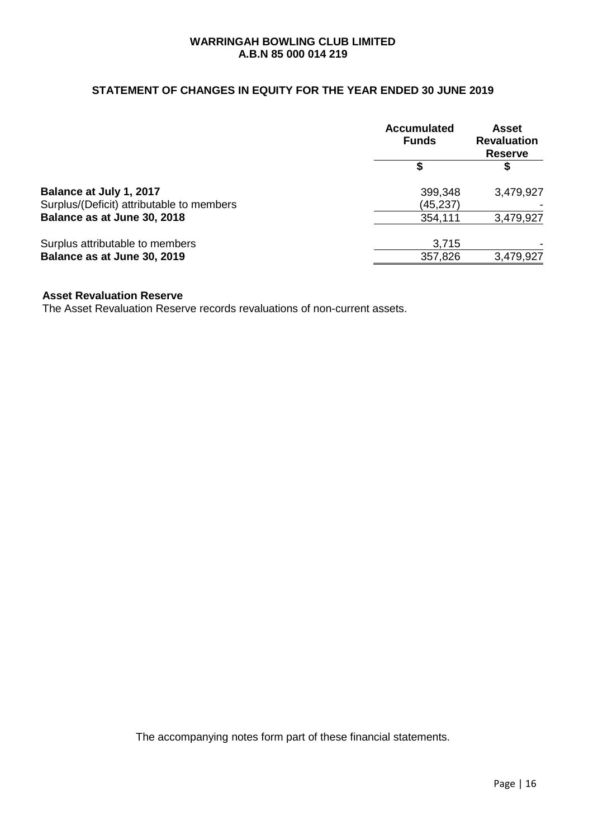## **STATEMENT OF CHANGES IN EQUITY FOR THE YEAR ENDED 30 JUNE 2019**

|                                           | <b>Accumulated</b><br><b>Funds</b> | <b>Asset</b><br><b>Revaluation</b><br><b>Reserve</b> |
|-------------------------------------------|------------------------------------|------------------------------------------------------|
|                                           |                                    |                                                      |
| Balance at July 1, 2017                   | 399,348                            | 3,479,927                                            |
| Surplus/(Deficit) attributable to members | (45,237)                           |                                                      |
| Balance as at June 30, 2018               | 354,111                            | 3,479,927                                            |
| Surplus attributable to members           | 3,715                              |                                                      |
| Balance as at June 30, 2019               | 357,826                            | 3,479,927                                            |

#### **Asset Revaluation Reserve**

The Asset Revaluation Reserve records revaluations of non-current assets.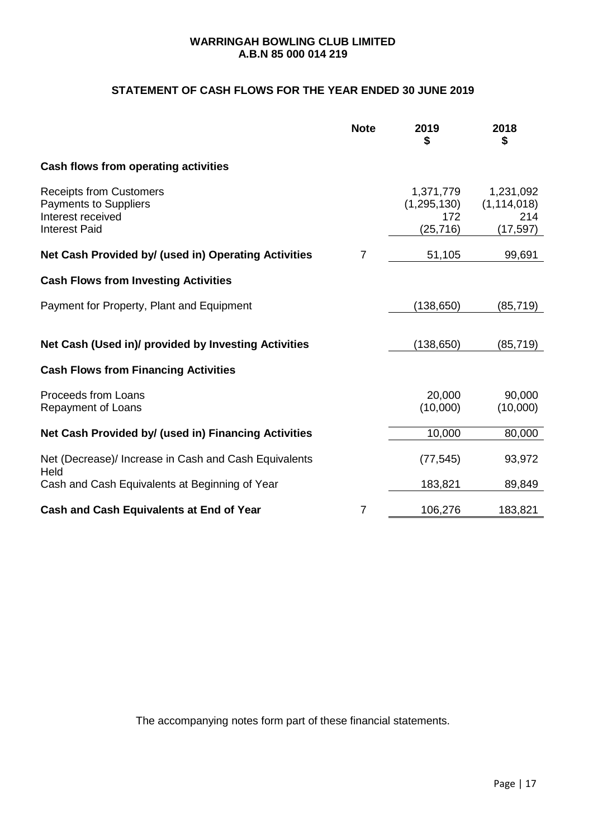## **STATEMENT OF CASH FLOWS FOR THE YEAR ENDED 30 JUNE 2019**

|                                                                                                             | <b>Note</b> | 2019<br>\$                                     | 2018<br>\$                                     |
|-------------------------------------------------------------------------------------------------------------|-------------|------------------------------------------------|------------------------------------------------|
| Cash flows from operating activities                                                                        |             |                                                |                                                |
| <b>Receipts from Customers</b><br><b>Payments to Suppliers</b><br>Interest received<br><b>Interest Paid</b> |             | 1,371,779<br>(1, 295, 130)<br>172<br>(25, 716) | 1,231,092<br>(1, 114, 018)<br>214<br>(17, 597) |
| Net Cash Provided by/ (used in) Operating Activities                                                        | 7           | 51,105                                         | 99,691                                         |
| <b>Cash Flows from Investing Activities</b>                                                                 |             |                                                |                                                |
| Payment for Property, Plant and Equipment                                                                   |             | (138, 650)                                     | (85,719)                                       |
| Net Cash (Used in)/ provided by Investing Activities                                                        |             | (138, 650)                                     | (85,719)                                       |
| <b>Cash Flows from Financing Activities</b>                                                                 |             |                                                |                                                |
| Proceeds from Loans<br>Repayment of Loans                                                                   |             | 20,000<br>(10,000)                             | 90,000<br>(10,000)                             |
| Net Cash Provided by/ (used in) Financing Activities                                                        |             | 10,000                                         | 80,000                                         |
| Net (Decrease)/ Increase in Cash and Cash Equivalents<br>Held                                               |             | (77, 545)                                      | 93,972                                         |
| Cash and Cash Equivalents at Beginning of Year                                                              |             | 183,821                                        | 89,849                                         |
| Cash and Cash Equivalents at End of Year                                                                    | 7           | 106,276                                        | 183,821                                        |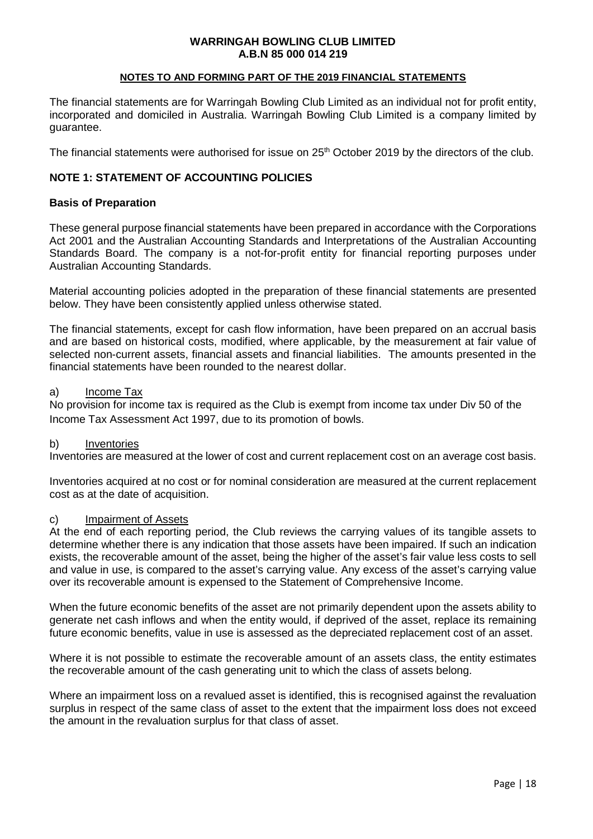#### **NOTES TO AND FORMING PART OF THE 2019 FINANCIAL STATEMENTS**

The financial statements are for Warringah Bowling Club Limited as an individual not for profit entity, incorporated and domiciled in Australia. Warringah Bowling Club Limited is a company limited by guarantee.

The financial statements were authorised for issue on 25<sup>th</sup> October 2019 by the directors of the club.

#### **NOTE 1: STATEMENT OF ACCOUNTING POLICIES**

#### **Basis of Preparation**

These general purpose financial statements have been prepared in accordance with the Corporations Act 2001 and the Australian Accounting Standards and Interpretations of the Australian Accounting Standards Board. The company is a not-for-profit entity for financial reporting purposes under Australian Accounting Standards.

Material accounting policies adopted in the preparation of these financial statements are presented below. They have been consistently applied unless otherwise stated.

The financial statements, except for cash flow information, have been prepared on an accrual basis and are based on historical costs, modified, where applicable, by the measurement at fair value of selected non-current assets, financial assets and financial liabilities. The amounts presented in the financial statements have been rounded to the nearest dollar.

#### a) Income Tax

No provision for income tax is required as the Club is exempt from income tax under Div 50 of the Income Tax Assessment Act 1997, due to its promotion of bowls.

#### b) Inventories

Inventories are measured at the lower of cost and current replacement cost on an average cost basis.

Inventories acquired at no cost or for nominal consideration are measured at the current replacement cost as at the date of acquisition.

#### c) Impairment of Assets

At the end of each reporting period, the Club reviews the carrying values of its tangible assets to determine whether there is any indication that those assets have been impaired. If such an indication exists, the recoverable amount of the asset, being the higher of the asset's fair value less costs to sell and value in use, is compared to the asset's carrying value. Any excess of the asset's carrying value over its recoverable amount is expensed to the Statement of Comprehensive Income.

When the future economic benefits of the asset are not primarily dependent upon the assets ability to generate net cash inflows and when the entity would, if deprived of the asset, replace its remaining future economic benefits, value in use is assessed as the depreciated replacement cost of an asset.

Where it is not possible to estimate the recoverable amount of an assets class, the entity estimates the recoverable amount of the cash generating unit to which the class of assets belong.

Where an impairment loss on a revalued asset is identified, this is recognised against the revaluation surplus in respect of the same class of asset to the extent that the impairment loss does not exceed the amount in the revaluation surplus for that class of asset.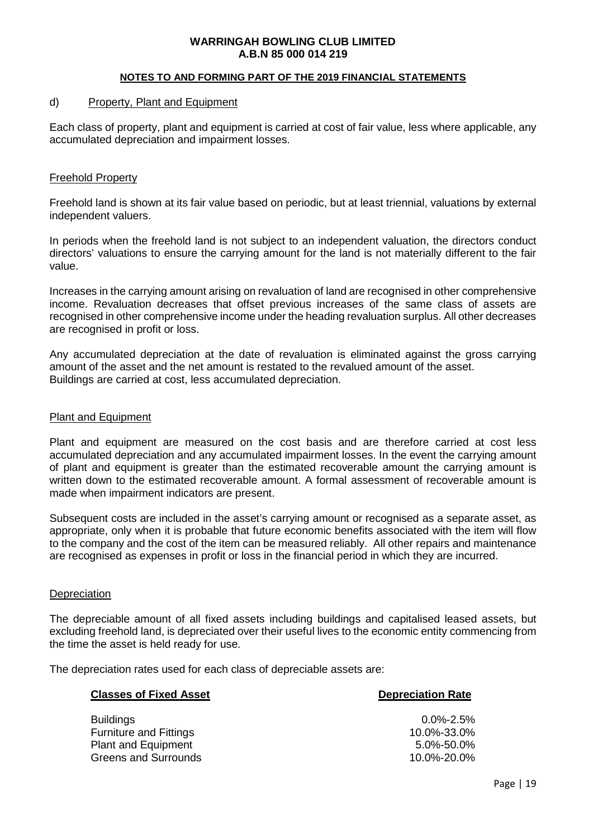#### **NOTES TO AND FORMING PART OF THE 2019 FINANCIAL STATEMENTS**

#### d) Property, Plant and Equipment

Each class of property, plant and equipment is carried at cost of fair value, less where applicable, any accumulated depreciation and impairment losses.

#### Freehold Property

Freehold land is shown at its fair value based on periodic, but at least triennial, valuations by external independent valuers.

In periods when the freehold land is not subject to an independent valuation, the directors conduct directors' valuations to ensure the carrying amount for the land is not materially different to the fair value.

Increases in the carrying amount arising on revaluation of land are recognised in other comprehensive income. Revaluation decreases that offset previous increases of the same class of assets are recognised in other comprehensive income under the heading revaluation surplus. All other decreases are recognised in profit or loss.

Any accumulated depreciation at the date of revaluation is eliminated against the gross carrying amount of the asset and the net amount is restated to the revalued amount of the asset. Buildings are carried at cost, less accumulated depreciation.

#### Plant and Equipment

Plant and equipment are measured on the cost basis and are therefore carried at cost less accumulated depreciation and any accumulated impairment losses. In the event the carrying amount of plant and equipment is greater than the estimated recoverable amount the carrying amount is written down to the estimated recoverable amount. A formal assessment of recoverable amount is made when impairment indicators are present.

Subsequent costs are included in the asset's carrying amount or recognised as a separate asset, as appropriate, only when it is probable that future economic benefits associated with the item will flow to the company and the cost of the item can be measured reliably. All other repairs and maintenance are recognised as expenses in profit or loss in the financial period in which they are incurred.

#### **Depreciation**

The depreciable amount of all fixed assets including buildings and capitalised leased assets, but excluding freehold land, is depreciated over their useful lives to the economic entity commencing from the time the asset is held ready for use.

The depreciation rates used for each class of depreciable assets are:

| <b>Classes of Fixed Asset</b>                                                   | <b>Depreciation Rate</b>                         |
|---------------------------------------------------------------------------------|--------------------------------------------------|
| <b>Buildings</b><br><b>Furniture and Fittings</b><br><b>Plant and Equipment</b> | $0.0\%$ -2.5%<br>10.0%-33.0%<br>$5.0\% - 50.0\%$ |
| <b>Greens and Surrounds</b>                                                     | 10.0%-20.0%                                      |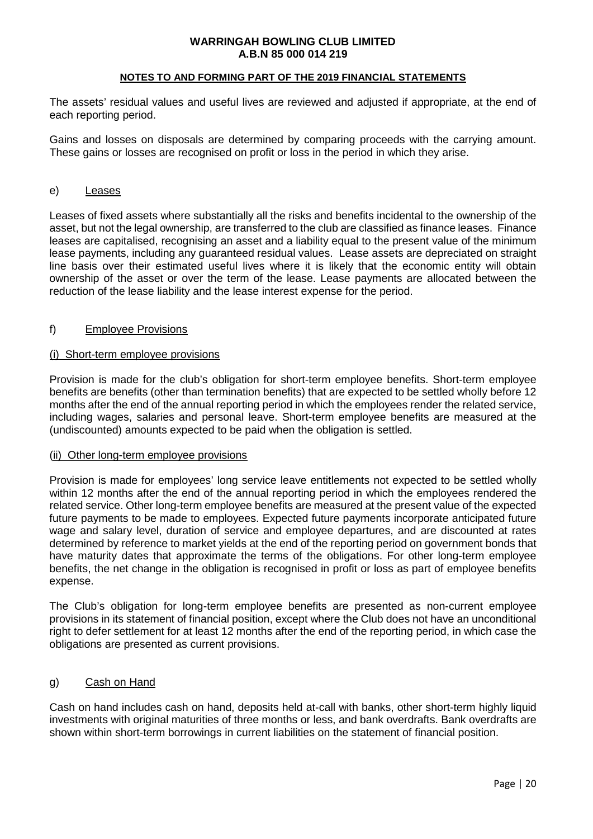#### **NOTES TO AND FORMING PART OF THE 2019 FINANCIAL STATEMENTS**

The assets' residual values and useful lives are reviewed and adjusted if appropriate, at the end of each reporting period.

Gains and losses on disposals are determined by comparing proceeds with the carrying amount. These gains or losses are recognised on profit or loss in the period in which they arise.

#### e) Leases

Leases of fixed assets where substantially all the risks and benefits incidental to the ownership of the asset, but not the legal ownership, are transferred to the club are classified as finance leases. Finance leases are capitalised, recognising an asset and a liability equal to the present value of the minimum lease payments, including any guaranteed residual values. Lease assets are depreciated on straight line basis over their estimated useful lives where it is likely that the economic entity will obtain ownership of the asset or over the term of the lease. Lease payments are allocated between the reduction of the lease liability and the lease interest expense for the period.

#### f) Employee Provisions

#### (i) Short-term employee provisions

Provision is made for the club's obligation for short-term employee benefits. Short-term employee benefits are benefits (other than termination benefits) that are expected to be settled wholly before 12 months after the end of the annual reporting period in which the employees render the related service, including wages, salaries and personal leave. Short-term employee benefits are measured at the (undiscounted) amounts expected to be paid when the obligation is settled.

#### (ii) Other long-term employee provisions

Provision is made for employees' long service leave entitlements not expected to be settled wholly within 12 months after the end of the annual reporting period in which the employees rendered the related service. Other long-term employee benefits are measured at the present value of the expected future payments to be made to employees. Expected future payments incorporate anticipated future wage and salary level, duration of service and employee departures, and are discounted at rates determined by reference to market yields at the end of the reporting period on government bonds that have maturity dates that approximate the terms of the obligations. For other long-term employee benefits, the net change in the obligation is recognised in profit or loss as part of employee benefits expense.

The Club's obligation for long-term employee benefits are presented as non-current employee provisions in its statement of financial position, except where the Club does not have an unconditional right to defer settlement for at least 12 months after the end of the reporting period, in which case the obligations are presented as current provisions.

#### g) Cash on Hand

Cash on hand includes cash on hand, deposits held at-call with banks, other short-term highly liquid investments with original maturities of three months or less, and bank overdrafts. Bank overdrafts are shown within short-term borrowings in current liabilities on the statement of financial position.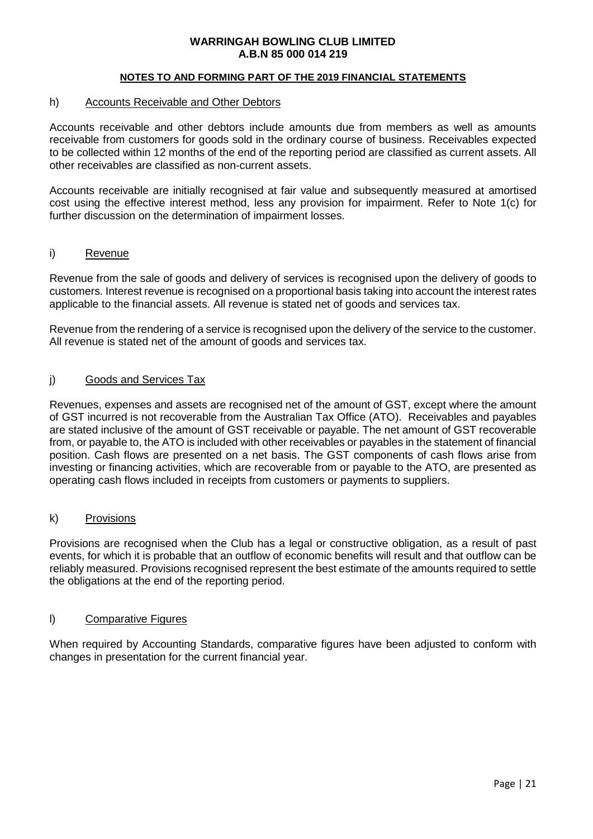#### **NOTES TO AND FORMING PART OF THE 2019 FINANCIAL STATEMENTS**

#### h) Accounts Receivable and Other Debtors

Accounts receivable and other debtors include amounts due from members as well as amounts receivable from customers for goods sold in the ordinary course of business. Receivables expected to be collected within 12 months of the end of the reporting period are classified as current assets. All other receivables are classified as non-current assets.

Accounts receivable are initially recognised at fair value and subsequently measured at amortised cost using the effective interest method, less any provision for impairment. Refer to Note 1(c) for further discussion on the determination of impairment losses.

#### i) Revenue

Revenue from the sale of goods and delivery of services is recognised upon the delivery of goods to customers. Interest revenue is recognised on a proportional basis taking into account the interest rates applicable to the financial assets. All revenue is stated net of goods and services tax.

Revenue from the rendering of a service is recognised upon the delivery of the service to the customer. All revenue is stated net of the amount of goods and services tax.

#### j) Goods and Services Tax

Revenues, expenses and assets are recognised net of the amount of GST, except where the amount of GST incurred is not recoverable from the Australian Tax Office (ATO). Receivables and payables are stated inclusive of the amount of GST receivable or payable. The net amount of GST recoverable from, or payable to, the ATO is included with other receivables or payables in the statement of financial position. Cash flows are presented on a net basis. The GST components of cash flows arise from investing or financing activities, which are recoverable from or payable to the ATO, are presented as operating cash flows included in receipts from customers or payments to suppliers.

#### k) Provisions

Provisions are recognised when the Club has a legal or constructive obligation, as a result of past events, for which it is probable that an outflow of economic benefits will result and that outflow can be reliably measured. Provisions recognised represent the best estimate of the amounts required to settle the obligations at the end of the reporting period.

#### l) Comparative Figures

When required by Accounting Standards, comparative figures have been adjusted to conform with changes in presentation for the current financial year.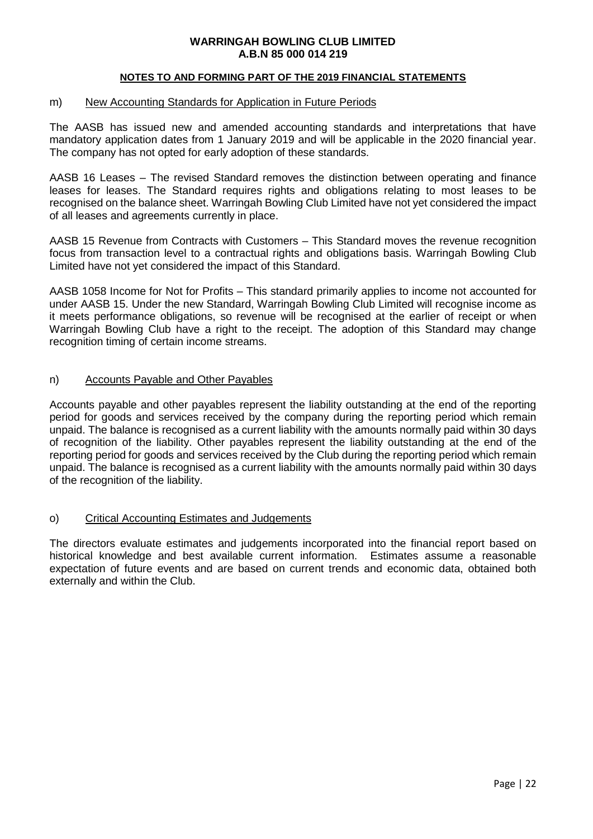#### **NOTES TO AND FORMING PART OF THE 2019 FINANCIAL STATEMENTS**

#### m) New Accounting Standards for Application in Future Periods

The AASB has issued new and amended accounting standards and interpretations that have mandatory application dates from 1 January 2019 and will be applicable in the 2020 financial year. The company has not opted for early adoption of these standards.

AASB 16 Leases – The revised Standard removes the distinction between operating and finance leases for leases. The Standard requires rights and obligations relating to most leases to be recognised on the balance sheet. Warringah Bowling Club Limited have not yet considered the impact of all leases and agreements currently in place.

AASB 15 Revenue from Contracts with Customers – This Standard moves the revenue recognition focus from transaction level to a contractual rights and obligations basis. Warringah Bowling Club Limited have not yet considered the impact of this Standard.

AASB 1058 Income for Not for Profits – This standard primarily applies to income not accounted for under AASB 15. Under the new Standard, Warringah Bowling Club Limited will recognise income as it meets performance obligations, so revenue will be recognised at the earlier of receipt or when Warringah Bowling Club have a right to the receipt. The adoption of this Standard may change recognition timing of certain income streams.

## n) Accounts Payable and Other Payables

Accounts payable and other payables represent the liability outstanding at the end of the reporting period for goods and services received by the company during the reporting period which remain unpaid. The balance is recognised as a current liability with the amounts normally paid within 30 days of recognition of the liability. Other payables represent the liability outstanding at the end of the reporting period for goods and services received by the Club during the reporting period which remain unpaid. The balance is recognised as a current liability with the amounts normally paid within 30 days of the recognition of the liability.

#### o) Critical Accounting Estimates and Judgements

The directors evaluate estimates and judgements incorporated into the financial report based on historical knowledge and best available current information. Estimates assume a reasonable expectation of future events and are based on current trends and economic data, obtained both externally and within the Club.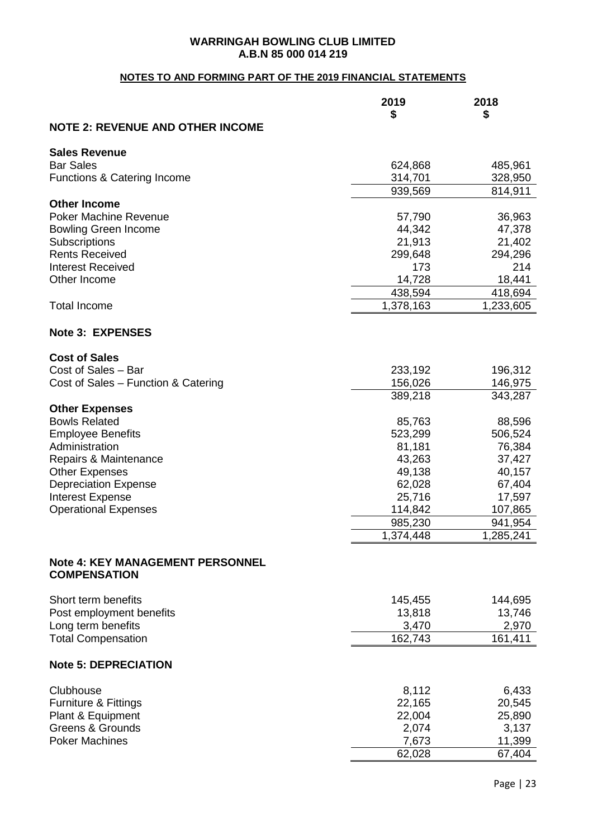## **NOTES TO AND FORMING PART OF THE 2019 FINANCIAL STATEMENTS**

|                                                      | 2019             | 2018             |
|------------------------------------------------------|------------------|------------------|
|                                                      | \$               | \$               |
| <b>NOTE 2: REVENUE AND OTHER INCOME</b>              |                  |                  |
| <b>Sales Revenue</b>                                 |                  |                  |
| <b>Bar Sales</b>                                     | 624,868          | 485,961          |
| <b>Functions &amp; Catering Income</b>               | 314,701          | 328,950          |
|                                                      | 939,569          | 814,911          |
| <b>Other Income</b>                                  |                  |                  |
| <b>Poker Machine Revenue</b>                         | 57,790           | 36,963           |
| <b>Bowling Green Income</b>                          | 44,342           | 47,378           |
| Subscriptions                                        | 21,913           | 21,402           |
| <b>Rents Received</b>                                | 299,648          | 294,296          |
| <b>Interest Received</b>                             | 173              | 214              |
| Other Income                                         | 14,728           | 18,441           |
|                                                      | 438,594          | 418,694          |
| <b>Total Income</b>                                  | 1,378,163        | 1,233,605        |
| <b>Note 3: EXPENSES</b>                              |                  |                  |
|                                                      |                  |                  |
| <b>Cost of Sales</b>                                 |                  |                  |
| Cost of Sales - Bar                                  | 233,192          | 196,312          |
| Cost of Sales - Function & Catering                  | 156,026          | 146,975          |
|                                                      | 389,218          | 343,287          |
| <b>Other Expenses</b>                                |                  |                  |
| <b>Bowls Related</b>                                 | 85,763           | 88,596           |
| <b>Employee Benefits</b>                             | 523,299          | 506,524          |
| Administration                                       | 81,181           | 76,384           |
| Repairs & Maintenance                                | 43,263           | 37,427           |
| <b>Other Expenses</b><br><b>Depreciation Expense</b> | 49,138<br>62,028 | 40,157<br>67,404 |
| <b>Interest Expense</b>                              | 25,716           | 17,597           |
| <b>Operational Expenses</b>                          | 114,842          | 107,865          |
|                                                      | 985,230          | 941,954          |
|                                                      | 1,374,448        | 1,285,241        |
|                                                      |                  |                  |
| <b>Note 4: KEY MANAGEMENT PERSONNEL</b>              |                  |                  |
| <b>COMPENSATION</b>                                  |                  |                  |
|                                                      |                  |                  |
| Short term benefits                                  | 145,455          | 144,695          |
| Post employment benefits                             | 13,818           | 13,746           |
| Long term benefits                                   | 3,470            | 2,970            |
| <b>Total Compensation</b>                            | 162,743          | 161,411          |
| <b>Note 5: DEPRECIATION</b>                          |                  |                  |
|                                                      |                  |                  |
| Clubhouse                                            | 8,112            | 6,433            |
| <b>Furniture &amp; Fittings</b><br>Plant & Equipment | 22,165<br>22,004 | 20,545<br>25,890 |
| <b>Greens &amp; Grounds</b>                          | 2,074            | 3,137            |
| <b>Poker Machines</b>                                | 7,673            | 11,399           |
|                                                      | 62,028           | 67,404           |
|                                                      |                  |                  |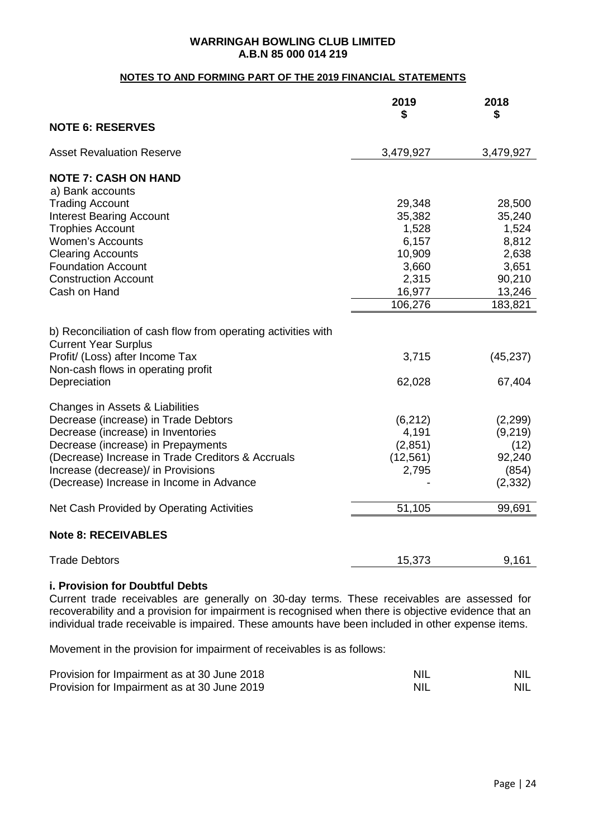## **NOTES TO AND FORMING PART OF THE 2019 FINANCIAL STATEMENTS**

|                                                                                                                                                                                                                                                                                            | 2019<br>\$                                         | 2018<br>\$                                                 |
|--------------------------------------------------------------------------------------------------------------------------------------------------------------------------------------------------------------------------------------------------------------------------------------------|----------------------------------------------------|------------------------------------------------------------|
| <b>NOTE 6: RESERVES</b>                                                                                                                                                                                                                                                                    |                                                    |                                                            |
| <b>Asset Revaluation Reserve</b>                                                                                                                                                                                                                                                           | 3,479,927                                          | 3,479,927                                                  |
| <b>NOTE 7: CASH ON HAND</b>                                                                                                                                                                                                                                                                |                                                    |                                                            |
| a) Bank accounts                                                                                                                                                                                                                                                                           |                                                    |                                                            |
| <b>Trading Account</b>                                                                                                                                                                                                                                                                     | 29,348                                             | 28,500                                                     |
| <b>Interest Bearing Account</b>                                                                                                                                                                                                                                                            | 35,382                                             | 35,240                                                     |
| <b>Trophies Account</b>                                                                                                                                                                                                                                                                    | 1,528                                              | 1,524                                                      |
| Women's Accounts                                                                                                                                                                                                                                                                           | 6,157                                              | 8,812                                                      |
| <b>Clearing Accounts</b>                                                                                                                                                                                                                                                                   | 10,909                                             | 2,638                                                      |
| <b>Foundation Account</b>                                                                                                                                                                                                                                                                  | 3,660                                              | 3,651                                                      |
| <b>Construction Account</b>                                                                                                                                                                                                                                                                | 2,315                                              | 90,210                                                     |
| Cash on Hand                                                                                                                                                                                                                                                                               | 16,977                                             | 13,246                                                     |
|                                                                                                                                                                                                                                                                                            | 106,276                                            | 183,821                                                    |
| b) Reconciliation of cash flow from operating activities with<br><b>Current Year Surplus</b><br>Profit/ (Loss) after Income Tax<br>Non-cash flows in operating profit                                                                                                                      | 3,715                                              | (45, 237)                                                  |
| Depreciation                                                                                                                                                                                                                                                                               | 62,028                                             | 67,404                                                     |
| Changes in Assets & Liabilities<br>Decrease (increase) in Trade Debtors<br>Decrease (increase) in Inventories<br>Decrease (increase) in Prepayments<br>(Decrease) Increase in Trade Creditors & Accruals<br>Increase (decrease)/ in Provisions<br>(Decrease) Increase in Income in Advance | (6, 212)<br>4,191<br>(2,851)<br>(12, 561)<br>2,795 | (2,299)<br>(9, 219)<br>(12)<br>92,240<br>(854)<br>(2, 332) |
| Net Cash Provided by Operating Activities                                                                                                                                                                                                                                                  | 51,105                                             | 99,691                                                     |
| <b>Note 8: RECEIVABLES</b>                                                                                                                                                                                                                                                                 |                                                    |                                                            |
| <b>Trade Debtors</b>                                                                                                                                                                                                                                                                       | 15,373                                             | 9,161                                                      |

## **i. Provision for Doubtful Debts**

Current trade receivables are generally on 30-day terms. These receivables are assessed for recoverability and a provision for impairment is recognised when there is objective evidence that an individual trade receivable is impaired. These amounts have been included in other expense items.

Movement in the provision for impairment of receivables is as follows:

| Provision for Impairment as at 30 June 2018 | <b>NIL</b> | <b>NIL</b> |
|---------------------------------------------|------------|------------|
| Provision for Impairment as at 30 June 2019 | <b>NIL</b> | <b>NIL</b> |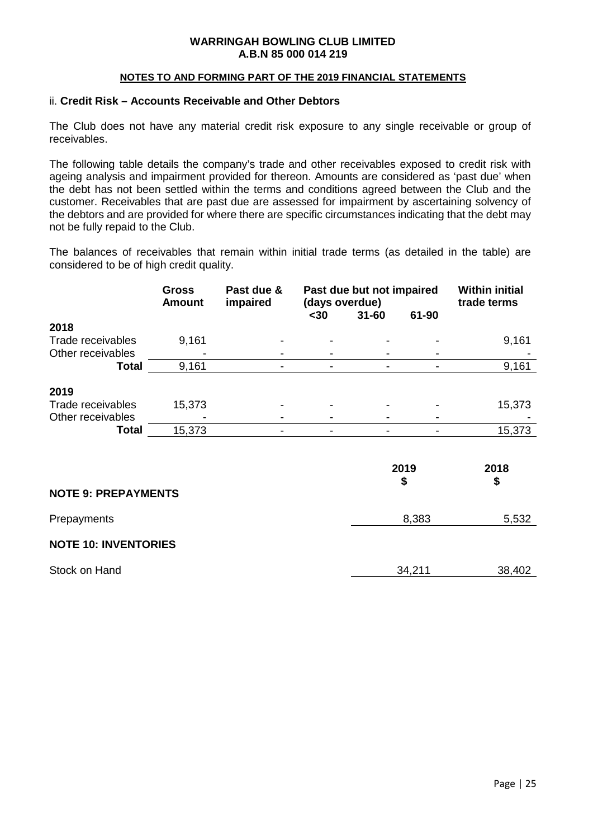#### **NOTES TO AND FORMING PART OF THE 2019 FINANCIAL STATEMENTS**

#### ii. **Credit Risk – Accounts Receivable and Other Debtors**

The Club does not have any material credit risk exposure to any single receivable or group of receivables.

The following table details the company's trade and other receivables exposed to credit risk with ageing analysis and impairment provided for thereon. Amounts are considered as 'past due' when the debt has not been settled within the terms and conditions agreed between the Club and the customer. Receivables that are past due are assessed for impairment by ascertaining solvency of the debtors and are provided for where there are specific circumstances indicating that the debt may not be fully repaid to the Club.

The balances of receivables that remain within initial trade terms (as detailed in the table) are considered to be of high credit quality.

|                   | <b>Gross</b><br><b>Amount</b> | Past due &<br>impaired | Past due but not impaired |           |       | (days overdue) |  | <b>Within initial</b><br>trade terms |
|-------------------|-------------------------------|------------------------|---------------------------|-----------|-------|----------------|--|--------------------------------------|
|                   |                               |                        | $30$                      | $31 - 60$ | 61-90 |                |  |                                      |
| 2018              |                               |                        |                           |           |       |                |  |                                      |
| Trade receivables | 9,161                         |                        | ۰                         |           |       | 9,161          |  |                                      |
| Other receivables |                               |                        |                           |           |       |                |  |                                      |
| Total             | 9,161                         |                        | -                         |           |       | 9,161          |  |                                      |
| 2019              |                               |                        |                           |           |       |                |  |                                      |
| Trade receivables | 15,373                        |                        |                           |           |       | 15,373         |  |                                      |
| Other receivables |                               |                        |                           |           |       |                |  |                                      |
| <b>Total</b>      | 15,373                        |                        |                           |           |       | 15,373         |  |                                      |
|                   |                               |                        |                           |           |       |                |  |                                      |

|                             | 2019<br>\$ | 2018<br>\$ |
|-----------------------------|------------|------------|
| <b>NOTE 9: PREPAYMENTS</b>  |            |            |
| Prepayments                 | 8,383      | 5,532      |
| <b>NOTE 10: INVENTORIES</b> |            |            |
| Stock on Hand               | 34,211     | 38,402     |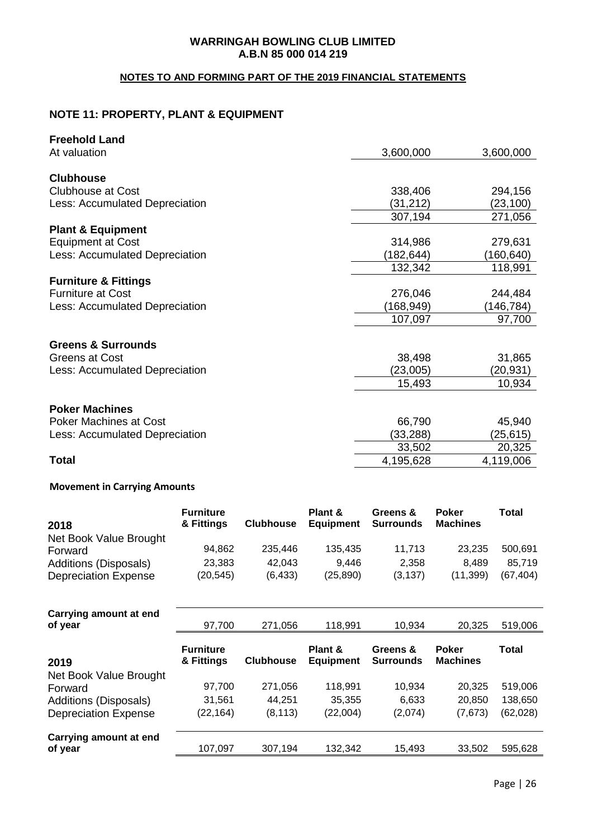## **NOTES TO AND FORMING PART OF THE 2019 FINANCIAL STATEMENTS**

## **NOTE 11: PROPERTY, PLANT & EQUIPMENT**

| <b>Freehold Land</b>            |            |           |
|---------------------------------|------------|-----------|
| At valuation                    | 3,600,000  | 3,600,000 |
| <b>Clubhouse</b>                |            |           |
| <b>Clubhouse at Cost</b>        | 338,406    | 294,156   |
| Less: Accumulated Depreciation  | (31,212)   | (23, 100) |
|                                 | 307,194    | 271,056   |
| <b>Plant &amp; Equipment</b>    |            |           |
| <b>Equipment at Cost</b>        | 314,986    | 279,631   |
| Less: Accumulated Depreciation  | (182, 644) | (160,640) |
|                                 | 132,342    | 118,991   |
| <b>Furniture &amp; Fittings</b> |            |           |
| <b>Furniture at Cost</b>        | 276,046    | 244,484   |
| Less: Accumulated Depreciation  | (168,949)  | (146,784) |
|                                 | 107,097    | 97,700    |
| <b>Greens &amp; Surrounds</b>   |            |           |
| Greens at Cost                  | 38,498     | 31,865    |
| Less: Accumulated Depreciation  | (23,005)   | (20,931)  |
|                                 | 15,493     | 10,934    |
|                                 |            |           |
| <b>Poker Machines</b>           |            |           |
| <b>Poker Machines at Cost</b>   | 66,790     | 45,940    |
| Less: Accumulated Depreciation  | (33, 288)  | (25, 615) |
|                                 | 33,502     | 20,325    |
| <b>Total</b>                    | 4,195,628  | 4,119,006 |
|                                 |            |           |

## **Movement in Carrying Amounts**

| 2018                         | <b>Furniture</b><br>& Fittings | <b>Clubhouse</b> | Plant &<br><b>Equipment</b> | Greens &<br><b>Surrounds</b> | <b>Poker</b><br><b>Machines</b> | Total     |
|------------------------------|--------------------------------|------------------|-----------------------------|------------------------------|---------------------------------|-----------|
| Net Book Value Brought       |                                |                  |                             |                              |                                 |           |
| Forward                      | 94,862                         | 235,446          | 135,435                     | 11,713                       | 23,235                          | 500,691   |
| <b>Additions (Disposals)</b> | 23,383                         | 42,043           | 9,446                       | 2,358                        | 8,489                           | 85,719    |
| <b>Depreciation Expense</b>  | (20, 545)                      | (6, 433)         | (25, 890)                   | (3, 137)                     | (11, 399)                       | (67, 404) |
|                              |                                |                  |                             |                              |                                 |           |
| Carrying amount at end       |                                |                  |                             |                              |                                 |           |
| of year                      | 97,700                         | 271,056          | 118,991                     | 10,934                       | 20,325                          | 519,006   |
|                              |                                |                  |                             |                              |                                 |           |
|                              |                                |                  |                             |                              |                                 |           |
|                              | <b>Furniture</b>               |                  | Plant &                     | Greens &                     | <b>Poker</b>                    | Total     |
| 2019                         | & Fittings                     | <b>Clubhouse</b> | <b>Equipment</b>            | <b>Surrounds</b>             | <b>Machines</b>                 |           |
| Net Book Value Brought       |                                |                  |                             |                              |                                 |           |
| Forward                      | 97,700                         | 271,056          | 118,991                     | 10,934                       | 20,325                          | 519,006   |
| <b>Additions (Disposals)</b> | 31,561                         | 44,251           | 35,355                      | 6,633                        | 20,850                          | 138,650   |
| <b>Depreciation Expense</b>  | (22, 164)                      | (8, 113)         | (22,004)                    | (2,074)                      | (7,673)                         | (62, 028) |
| Carrying amount at end       |                                |                  |                             |                              |                                 |           |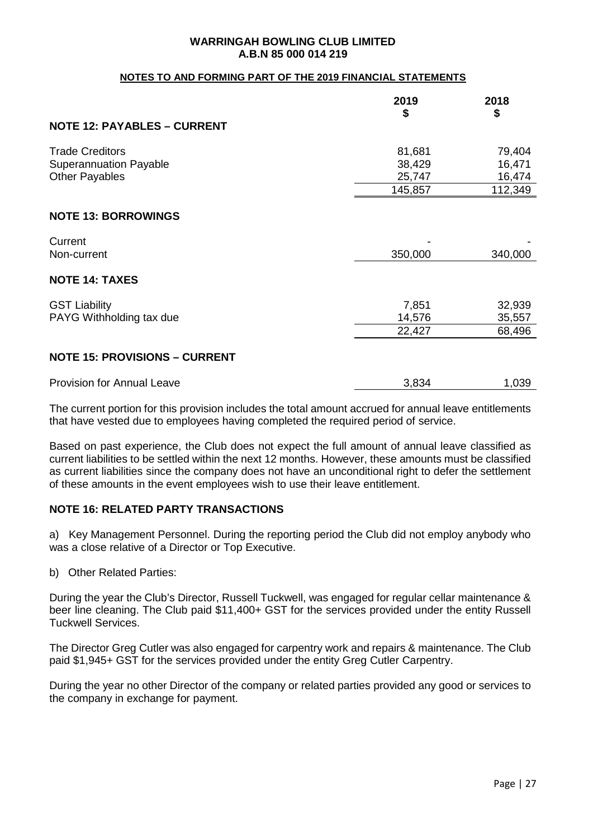#### **NOTES TO AND FORMING PART OF THE 2019 FINANCIAL STATEMENTS**

|                                      | 2019<br>\$ | 2018<br>\$ |
|--------------------------------------|------------|------------|
| <b>NOTE 12: PAYABLES - CURRENT</b>   |            |            |
| <b>Trade Creditors</b>               | 81,681     | 79,404     |
| <b>Superannuation Payable</b>        | 38,429     | 16,471     |
| <b>Other Payables</b>                | 25,747     | 16,474     |
|                                      | 145,857    | 112,349    |
| <b>NOTE 13: BORROWINGS</b>           |            |            |
| Current                              |            |            |
| Non-current                          | 350,000    | 340,000    |
| <b>NOTE 14: TAXES</b>                |            |            |
| <b>GST Liability</b>                 | 7,851      | 32,939     |
| PAYG Withholding tax due             | 14,576     | 35,557     |
|                                      | 22,427     | 68,496     |
| <b>NOTE 15: PROVISIONS - CURRENT</b> |            |            |
| <b>Provision for Annual Leave</b>    | 3,834      | 1,039      |

The current portion for this provision includes the total amount accrued for annual leave entitlements that have vested due to employees having completed the required period of service.

Based on past experience, the Club does not expect the full amount of annual leave classified as current liabilities to be settled within the next 12 months. However, these amounts must be classified as current liabilities since the company does not have an unconditional right to defer the settlement of these amounts in the event employees wish to use their leave entitlement.

## **NOTE 16: RELATED PARTY TRANSACTIONS**

a) Key Management Personnel. During the reporting period the Club did not employ anybody who was a close relative of a Director or Top Executive.

b) Other Related Parties:

During the year the Club's Director, Russell Tuckwell, was engaged for regular cellar maintenance & beer line cleaning. The Club paid \$11,400+ GST for the services provided under the entity Russell Tuckwell Services.

The Director Greg Cutler was also engaged for carpentry work and repairs & maintenance. The Club paid \$1,945+ GST for the services provided under the entity Greg Cutler Carpentry.

During the year no other Director of the company or related parties provided any good or services to the company in exchange for payment.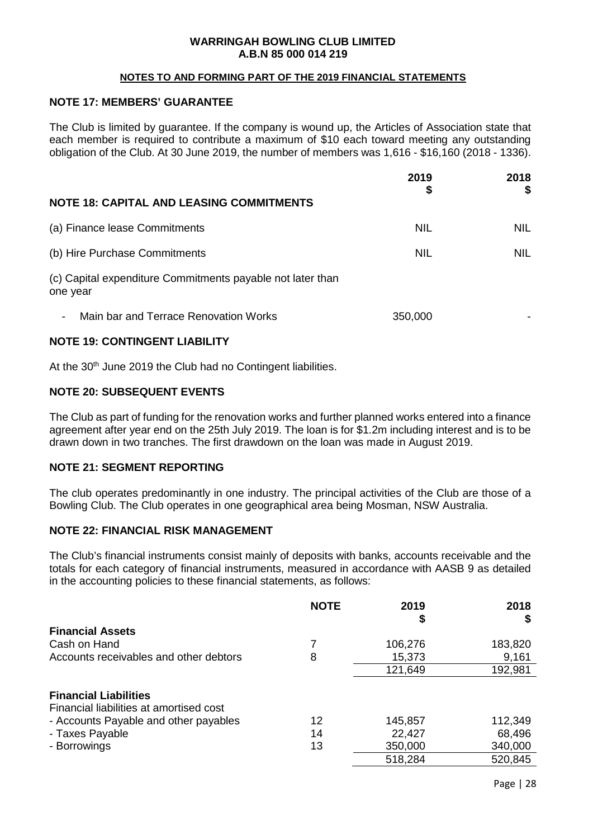#### **NOTES TO AND FORMING PART OF THE 2019 FINANCIAL STATEMENTS**

## **NOTE 17: MEMBERS' GUARANTEE**

The Club is limited by guarantee. If the company is wound up, the Articles of Association state that each member is required to contribute a maximum of \$10 each toward meeting any outstanding obligation of the Club. At 30 June 2019, the number of members was 1,616 - \$16,160 (2018 - 1336).

|                                                                        | 2019<br>\$ | 2018<br>\$ |
|------------------------------------------------------------------------|------------|------------|
| <b>NOTE 18: CAPITAL AND LEASING COMMITMENTS</b>                        |            |            |
| (a) Finance lease Commitments                                          | <b>NIL</b> | <b>NIL</b> |
| (b) Hire Purchase Commitments                                          | <b>NIL</b> | <b>NIL</b> |
| (c) Capital expenditure Commitments payable not later than<br>one year |            |            |
| Main bar and Terrace Renovation Works<br>$\overline{\phantom{a}}$      | 350,000    |            |
|                                                                        |            |            |

#### **NOTE 19: CONTINGENT LIABILITY**

At the 30<sup>th</sup> June 2019 the Club had no Contingent liabilities.

## **NOTE 20: SUBSEQUENT EVENTS**

The Club as part of funding for the renovation works and further planned works entered into a finance agreement after year end on the 25th July 2019. The loan is for \$1.2m including interest and is to be drawn down in two tranches. The first drawdown on the loan was made in August 2019.

## **NOTE 21: SEGMENT REPORTING**

The club operates predominantly in one industry. The principal activities of the Club are those of a Bowling Club. The Club operates in one geographical area being Mosman, NSW Australia.

## **NOTE 22: FINANCIAL RISK MANAGEMENT**

The Club's financial instruments consist mainly of deposits with banks, accounts receivable and the totals for each category of financial instruments, measured in accordance with AASB 9 as detailed in the accounting policies to these financial statements, as follows:

|                                                                         | <b>NOTE</b> | 2019    | 2018    |
|-------------------------------------------------------------------------|-------------|---------|---------|
| <b>Financial Assets</b>                                                 |             |         |         |
| Cash on Hand                                                            |             | 106,276 | 183,820 |
| Accounts receivables and other debtors                                  | 8           | 15,373  | 9,161   |
|                                                                         |             | 121,649 | 192,981 |
| <b>Financial Liabilities</b><br>Financial liabilities at amortised cost |             |         |         |
| - Accounts Payable and other payables                                   | 12          | 145,857 | 112,349 |
| - Taxes Payable                                                         | 14          | 22,427  | 68,496  |
| - Borrowings                                                            | 13          | 350,000 | 340,000 |
|                                                                         |             | 518,284 | 520,845 |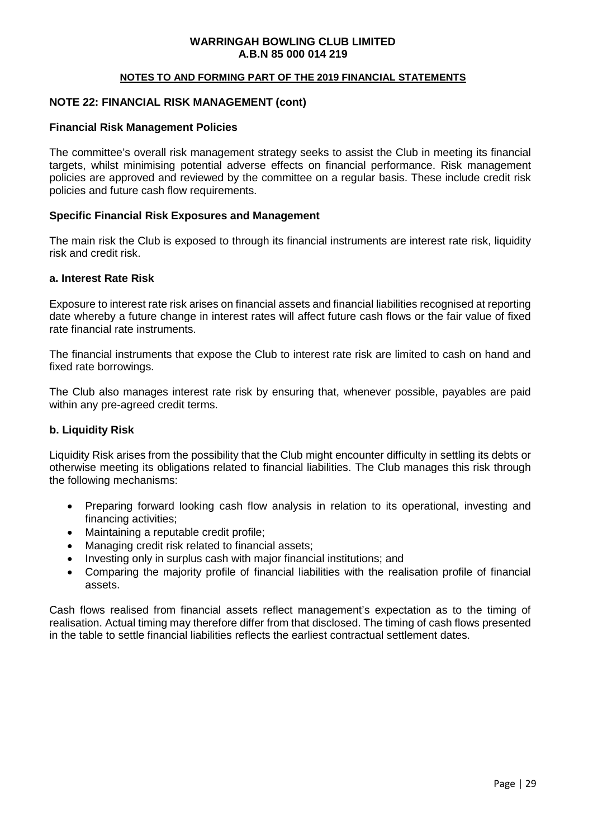#### **NOTES TO AND FORMING PART OF THE 2019 FINANCIAL STATEMENTS**

#### **NOTE 22: FINANCIAL RISK MANAGEMENT (cont)**

#### **Financial Risk Management Policies**

The committee's overall risk management strategy seeks to assist the Club in meeting its financial targets, whilst minimising potential adverse effects on financial performance. Risk management policies are approved and reviewed by the committee on a regular basis. These include credit risk policies and future cash flow requirements.

#### **Specific Financial Risk Exposures and Management**

The main risk the Club is exposed to through its financial instruments are interest rate risk, liquidity risk and credit risk.

#### **a. Interest Rate Risk**

Exposure to interest rate risk arises on financial assets and financial liabilities recognised at reporting date whereby a future change in interest rates will affect future cash flows or the fair value of fixed rate financial rate instruments.

The financial instruments that expose the Club to interest rate risk are limited to cash on hand and fixed rate borrowings.

The Club also manages interest rate risk by ensuring that, whenever possible, payables are paid within any pre-agreed credit terms.

#### **b. Liquidity Risk**

Liquidity Risk arises from the possibility that the Club might encounter difficulty in settling its debts or otherwise meeting its obligations related to financial liabilities. The Club manages this risk through the following mechanisms:

- Preparing forward looking cash flow analysis in relation to its operational, investing and financing activities;
- Maintaining a reputable credit profile;
- Managing credit risk related to financial assets:
- Investing only in surplus cash with major financial institutions; and
- Comparing the majority profile of financial liabilities with the realisation profile of financial assets.

Cash flows realised from financial assets reflect management's expectation as to the timing of realisation. Actual timing may therefore differ from that disclosed. The timing of cash flows presented in the table to settle financial liabilities reflects the earliest contractual settlement dates.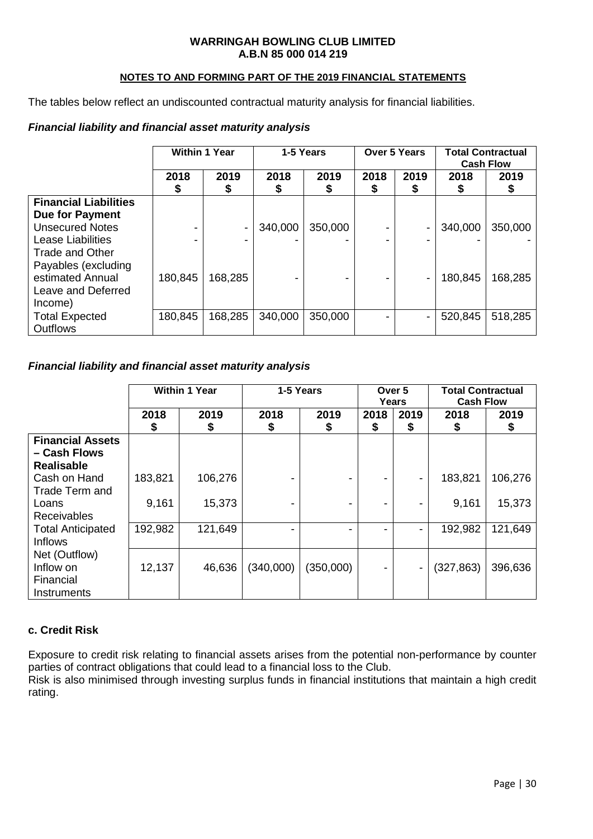## **NOTES TO AND FORMING PART OF THE 2019 FINANCIAL STATEMENTS**

The tables below reflect an undiscounted contractual maturity analysis for financial liabilities.

## *Financial liability and financial asset maturity analysis*

|                                                             | <b>Within 1 Year</b> |            | 1-5 Years |            | Over 5 Years |           | <b>Total Contractual</b><br><b>Cash Flow</b> |           |
|-------------------------------------------------------------|----------------------|------------|-----------|------------|--------------|-----------|----------------------------------------------|-----------|
|                                                             | 2018<br>\$           | 2019<br>\$ | 2018<br>Φ | 2019<br>\$ | 2018<br>⊅    | 2019<br>⊅ | 2018<br>\$                                   | 2019<br>⊅ |
| <b>Financial Liabilities</b><br><b>Due for Payment</b>      |                      |            |           |            |              |           |                                              |           |
| <b>Unsecured Notes</b>                                      |                      |            | 340,000   | 350,000    |              |           | 340,000                                      | 350,000   |
| Lease Liabilities<br>Trade and Other<br>Payables (excluding |                      | -          |           |            |              |           |                                              |           |
| estimated Annual<br>Leave and Deferred<br>Income)           | 180,845              | 168,285    |           |            |              |           | 180,845                                      | 168,285   |
| <b>Total Expected</b><br><b>Outflows</b>                    | 180,845              | 168,285    | 340,000   | 350,000    |              |           | 520,845                                      | 518,285   |

## *Financial liability and financial asset maturity analysis*

|                                                              |            | <b>Within 1 Year</b><br>1-5 Years |            | Over 5<br>Years |           | <b>Total Contractual</b><br><b>Cash Flow</b> |            |            |
|--------------------------------------------------------------|------------|-----------------------------------|------------|-----------------|-----------|----------------------------------------------|------------|------------|
|                                                              | 2018<br>\$ | 2019<br>\$                        | 2018<br>\$ | 2019<br>\$      | 2018<br>S | 2019<br>\$                                   | 2018<br>S  | 2019<br>\$ |
| <b>Financial Assets</b><br>– Cash Flows<br><b>Realisable</b> |            |                                   |            |                 |           |                                              |            |            |
| Cash on Hand<br>Trade Term and                               | 183,821    | 106,276                           |            |                 | -         |                                              | 183,821    | 106,276    |
| Loans<br><b>Receivables</b>                                  | 9,161      | 15,373                            |            |                 | -         |                                              | 9,161      | 15,373     |
| <b>Total Anticipated</b><br><b>Inflows</b>                   | 192,982    | 121,649                           |            |                 | ۰         |                                              | 192,982    | 121,649    |
| Net (Outflow)<br>Inflow on<br>Financial<br>Instruments       | 12,137     | 46,636                            | (340,000)  | (350,000)       | -         | $\blacksquare$                               | (327, 863) | 396,636    |

## **c. Credit Risk**

Exposure to credit risk relating to financial assets arises from the potential non-performance by counter parties of contract obligations that could lead to a financial loss to the Club.

Risk is also minimised through investing surplus funds in financial institutions that maintain a high credit rating.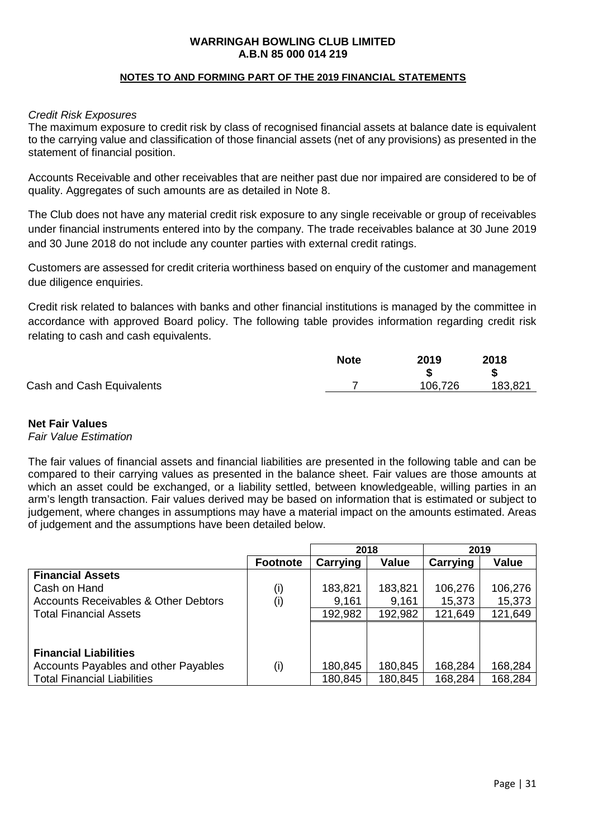#### **NOTES TO AND FORMING PART OF THE 2019 FINANCIAL STATEMENTS**

#### *Credit Risk Exposures*

The maximum exposure to credit risk by class of recognised financial assets at balance date is equivalent to the carrying value and classification of those financial assets (net of any provisions) as presented in the statement of financial position.

Accounts Receivable and other receivables that are neither past due nor impaired are considered to be of quality. Aggregates of such amounts are as detailed in Note 8.

The Club does not have any material credit risk exposure to any single receivable or group of receivables under financial instruments entered into by the company. The trade receivables balance at 30 June 2019 and 30 June 2018 do not include any counter parties with external credit ratings.

Customers are assessed for credit criteria worthiness based on enquiry of the customer and management due diligence enquiries.

Credit risk related to balances with banks and other financial institutions is managed by the committee in accordance with approved Board policy. The following table provides information regarding credit risk relating to cash and cash equivalents.

|                           | <b>Note</b> | 2019    | 2018    |
|---------------------------|-------------|---------|---------|
|                           |             |         |         |
| Cash and Cash Equivalents |             | 106.726 | 183,821 |

#### **Net Fair Values**

#### *Fair Value Estimation*

The fair values of financial assets and financial liabilities are presented in the following table and can be compared to their carrying values as presented in the balance sheet. Fair values are those amounts at which an asset could be exchanged, or a liability settled, between knowledgeable, willing parties in an arm's length transaction. Fair values derived may be based on information that is estimated or subject to judgement, where changes in assumptions may have a material impact on the amounts estimated. Areas of judgement and the assumptions have been detailed below.

|                                                 |                 | 2018     |              | 2019     |         |
|-------------------------------------------------|-----------------|----------|--------------|----------|---------|
|                                                 | <b>Footnote</b> | Carrying | <b>Value</b> | Carrying | Value   |
| <b>Financial Assets</b>                         |                 |          |              |          |         |
| Cash on Hand                                    | (i)             | 183,821  | 183,821      | 106,276  | 106,276 |
| <b>Accounts Receivables &amp; Other Debtors</b> | (i)             | 9,161    | 9,161        | 15,373   | 15,373  |
| <b>Total Financial Assets</b>                   |                 | 192,982  | 192,982      | 121,649  | 121,649 |
|                                                 |                 |          |              |          |         |
|                                                 |                 |          |              |          |         |
| <b>Financial Liabilities</b>                    |                 |          |              |          |         |
| Accounts Payables and other Payables            | (i)             | 180,845  | 180,845      | 168,284  | 168,284 |
| <b>Total Financial Liabilities</b>              |                 | 180,845  | 180,845      | 168,284  | 168,284 |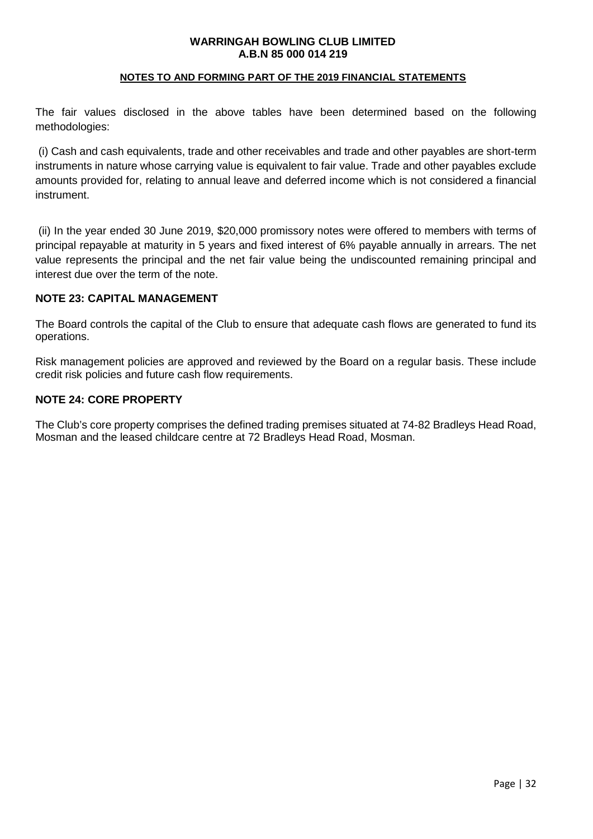#### **NOTES TO AND FORMING PART OF THE 2019 FINANCIAL STATEMENTS**

The fair values disclosed in the above tables have been determined based on the following methodologies:

(i) Cash and cash equivalents, trade and other receivables and trade and other payables are short-term instruments in nature whose carrying value is equivalent to fair value. Trade and other payables exclude amounts provided for, relating to annual leave and deferred income which is not considered a financial instrument.

(ii) In the year ended 30 June 2019, \$20,000 promissory notes were offered to members with terms of principal repayable at maturity in 5 years and fixed interest of 6% payable annually in arrears. The net value represents the principal and the net fair value being the undiscounted remaining principal and interest due over the term of the note.

#### **NOTE 23: CAPITAL MANAGEMENT**

The Board controls the capital of the Club to ensure that adequate cash flows are generated to fund its operations.

Risk management policies are approved and reviewed by the Board on a regular basis. These include credit risk policies and future cash flow requirements.

#### **NOTE 24: CORE PROPERTY**

The Club's core property comprises the defined trading premises situated at 74-82 Bradleys Head Road, Mosman and the leased childcare centre at 72 Bradleys Head Road, Mosman.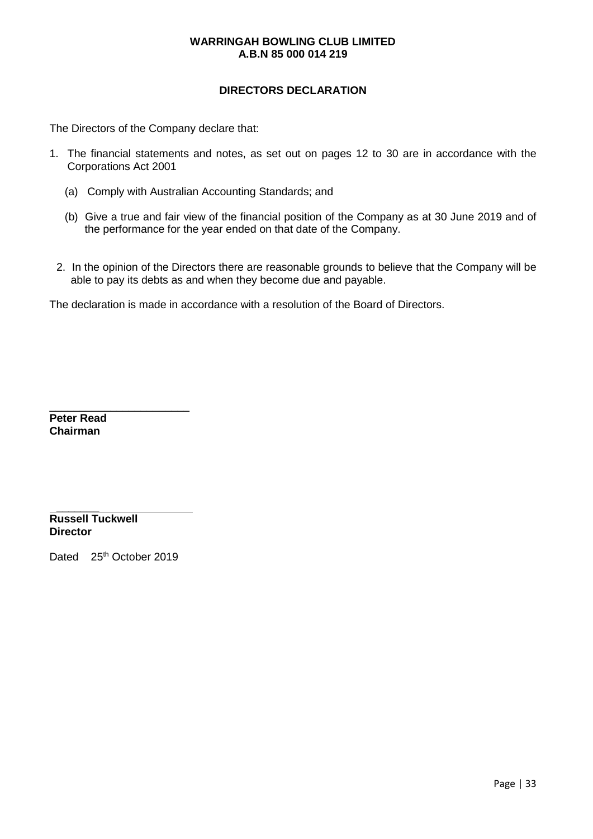## **DIRECTORS DECLARATION**

The Directors of the Company declare that:

- 1. The financial statements and notes, as set out on pages 12 to 30 are in accordance with the Corporations Act 2001
	- (a) Comply with Australian Accounting Standards; and
	- (b) Give a true and fair view of the financial position of the Company as at 30 June 2019 and of the performance for the year ended on that date of the Company.
	- 2. In the opinion of the Directors there are reasonable grounds to believe that the Company will be able to pay its debts as and when they become due and payable.

The declaration is made in accordance with a resolution of the Board of Directors.

**Peter Read Chairman**

 $\frac{1}{2}$ **Russell Tuckwell Director**

Dated 25<sup>th</sup> October 2019

 $\frac{1}{2}$  ,  $\frac{1}{2}$  ,  $\frac{1}{2}$  ,  $\frac{1}{2}$  ,  $\frac{1}{2}$  ,  $\frac{1}{2}$  ,  $\frac{1}{2}$  ,  $\frac{1}{2}$  ,  $\frac{1}{2}$  ,  $\frac{1}{2}$  ,  $\frac{1}{2}$  ,  $\frac{1}{2}$  ,  $\frac{1}{2}$  ,  $\frac{1}{2}$  ,  $\frac{1}{2}$  ,  $\frac{1}{2}$  ,  $\frac{1}{2}$  ,  $\frac{1}{2}$  ,  $\frac{1$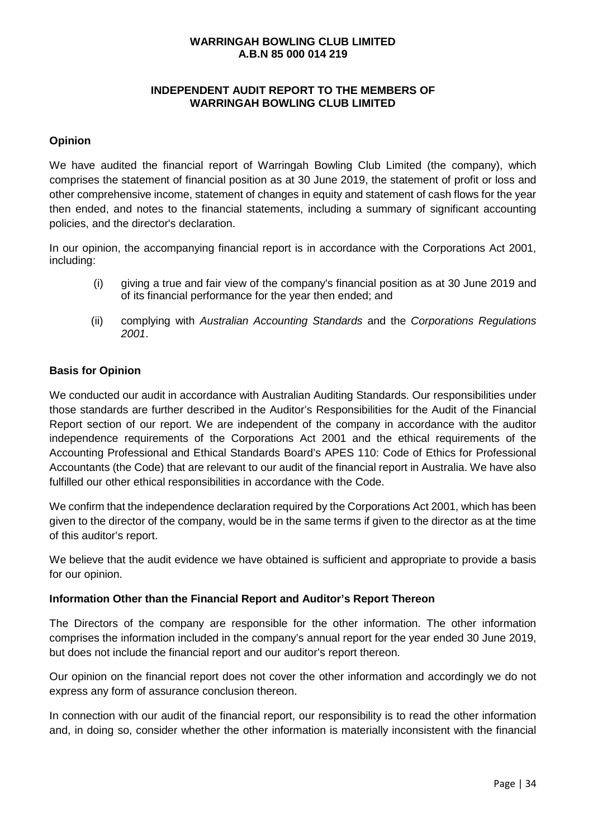## **INDEPENDENT AUDIT REPORT TO THE MEMBERS OF WARRINGAH BOWLING CLUB LIMITED**

## **Opinion**

We have audited the financial report of Warringah Bowling Club Limited (the company), which comprises the statement of financial position as at 30 June 2019, the statement of profit or loss and other comprehensive income, statement of changes in equity and statement of cash flows for the year then ended, and notes to the financial statements, including a summary of significant accounting policies, and the director's declaration.

In our opinion, the accompanying financial report is in accordance with the Corporations Act 2001, including:

- (i) giving a true and fair view of the company's financial position as at 30 June 2019 and of its financial performance for the year then ended; and
- (ii) complying with *Australian Accounting Standards* and the *Corporations Regulations 2001*.

## **Basis for Opinion**

We conducted our audit in accordance with Australian Auditing Standards. Our responsibilities under those standards are further described in the Auditor's Responsibilities for the Audit of the Financial Report section of our report. We are independent of the company in accordance with the auditor independence requirements of the Corporations Act 2001 and the ethical requirements of the Accounting Professional and Ethical Standards Board's APES 110: Code of Ethics for Professional Accountants (the Code) that are relevant to our audit of the financial report in Australia. We have also fulfilled our other ethical responsibilities in accordance with the Code.

We confirm that the independence declaration required by the Corporations Act 2001, which has been given to the director of the company, would be in the same terms if given to the director as at the time of this auditor's report.

We believe that the audit evidence we have obtained is sufficient and appropriate to provide a basis for our opinion.

#### **Information Other than the Financial Report and Auditor's Report Thereon**

The Directors of the company are responsible for the other information. The other information comprises the information included in the company's annual report for the year ended 30 June 2019, but does not include the financial report and our auditor's report thereon.

Our opinion on the financial report does not cover the other information and accordingly we do not express any form of assurance conclusion thereon.

In connection with our audit of the financial report, our responsibility is to read the other information and, in doing so, consider whether the other information is materially inconsistent with the financial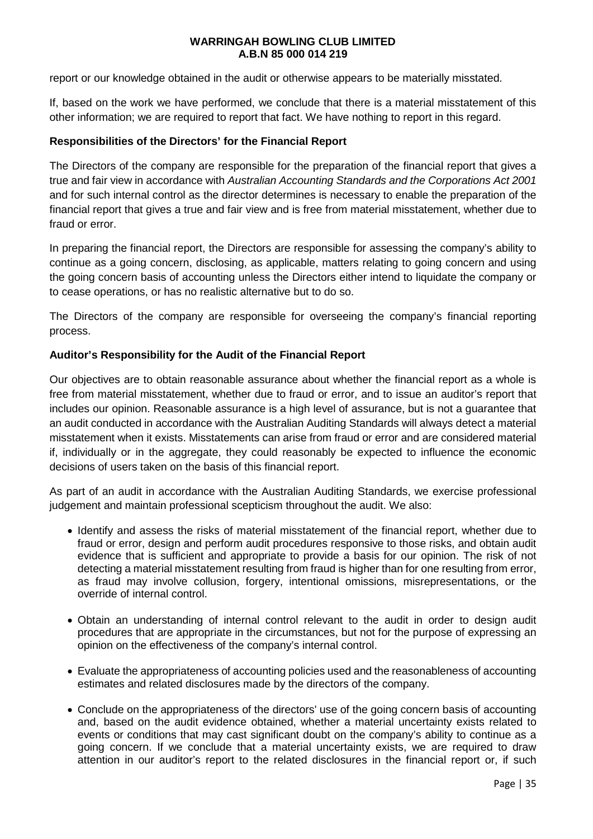report or our knowledge obtained in the audit or otherwise appears to be materially misstated.

If, based on the work we have performed, we conclude that there is a material misstatement of this other information; we are required to report that fact. We have nothing to report in this regard.

#### **Responsibilities of the Directors' for the Financial Report**

The Directors of the company are responsible for the preparation of the financial report that gives a true and fair view in accordance with *Australian Accounting Standards and the Corporations Act 2001* and for such internal control as the director determines is necessary to enable the preparation of the financial report that gives a true and fair view and is free from material misstatement, whether due to fraud or error.

In preparing the financial report, the Directors are responsible for assessing the company's ability to continue as a going concern, disclosing, as applicable, matters relating to going concern and using the going concern basis of accounting unless the Directors either intend to liquidate the company or to cease operations, or has no realistic alternative but to do so.

The Directors of the company are responsible for overseeing the company's financial reporting process.

#### **Auditor's Responsibility for the Audit of the Financial Report**

Our objectives are to obtain reasonable assurance about whether the financial report as a whole is free from material misstatement, whether due to fraud or error, and to issue an auditor's report that includes our opinion. Reasonable assurance is a high level of assurance, but is not a guarantee that an audit conducted in accordance with the Australian Auditing Standards will always detect a material misstatement when it exists. Misstatements can arise from fraud or error and are considered material if, individually or in the aggregate, they could reasonably be expected to influence the economic decisions of users taken on the basis of this financial report.

As part of an audit in accordance with the Australian Auditing Standards, we exercise professional judgement and maintain professional scepticism throughout the audit. We also:

- Identify and assess the risks of material misstatement of the financial report, whether due to fraud or error, design and perform audit procedures responsive to those risks, and obtain audit evidence that is sufficient and appropriate to provide a basis for our opinion. The risk of not detecting a material misstatement resulting from fraud is higher than for one resulting from error, as fraud may involve collusion, forgery, intentional omissions, misrepresentations, or the override of internal control.
- Obtain an understanding of internal control relevant to the audit in order to design audit procedures that are appropriate in the circumstances, but not for the purpose of expressing an opinion on the effectiveness of the company's internal control.
- Evaluate the appropriateness of accounting policies used and the reasonableness of accounting estimates and related disclosures made by the directors of the company.
- Conclude on the appropriateness of the directors' use of the going concern basis of accounting and, based on the audit evidence obtained, whether a material uncertainty exists related to events or conditions that may cast significant doubt on the company's ability to continue as a going concern. If we conclude that a material uncertainty exists, we are required to draw attention in our auditor's report to the related disclosures in the financial report or, if such